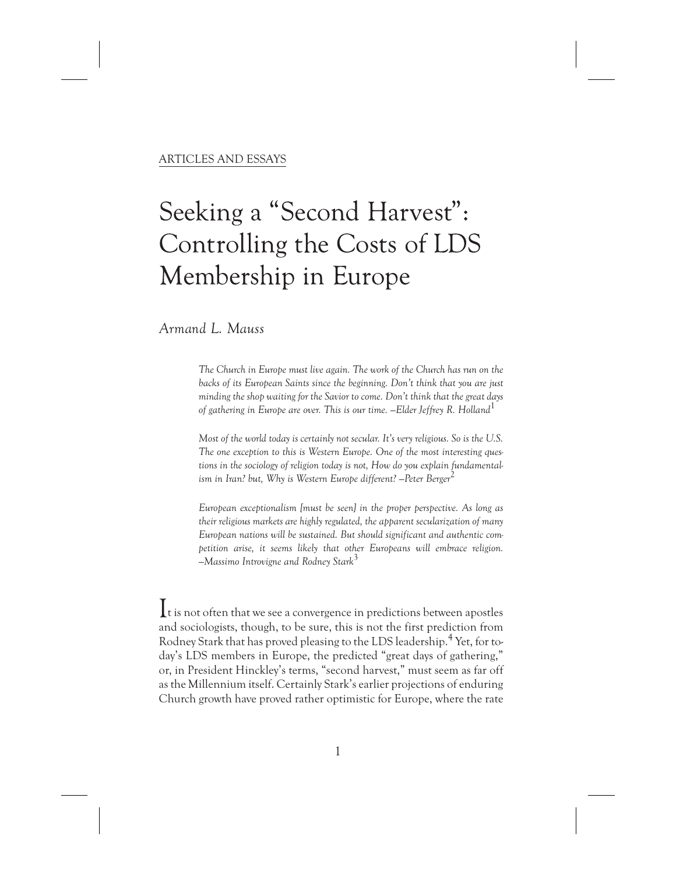# Seeking a "Second Harvest": Controlling the Costs of LDS Membership in Europe

*Armand L. Mauss*

*The Church in Europe must live again. The work of the Church has run on the backs of its European Saints since the beginning. Don't think that you are just minding the shop waiting for the Savior to come. Don't think that the great days of gathering in Europe are over. This is our time. —Elder Jeffrey R. Holland*<sup>1</sup>

*Most of the world today is certainly not secular. It's very religious. So is the U.S. The one exception to this is Western Europe. One of the most interesting questions in the sociology of religion today is not, How do you explain fundamentalism in Iran? but, Why is Western Europe different? —Peter Berger*<sup>2</sup>

*European exceptionalism [must be seen] in the proper perspective. As long as their religious markets are highly regulated, the apparent secularization of many European nations will be sustained. But should significant and authentic competition arise, it seems likely that other Europeans will embrace religion. —Massimo Introvigne and Rodney Stark*<sup>3</sup>

It is not often that we see a convergence in predictions between apostles and sociologists, though, to be sure, this is not the first prediction from Rodney Stark that has proved pleasing to the LDS leadership.<sup>4</sup> Yet, for today's LDS members in Europe, the predicted "great days of gathering," or, in President Hinckley's terms, "second harvest," must seem as far off as the Millennium itself. Certainly Stark's earlier projections of enduring Church growth have proved rather optimistic for Europe, where the rate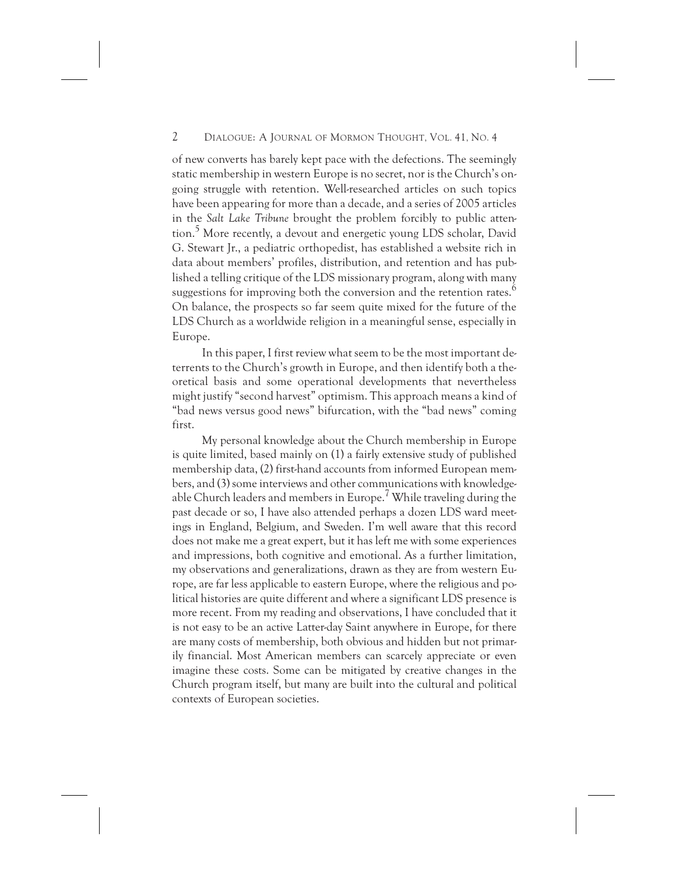of new converts has barely kept pace with the defections. The seemingly static membership in western Europe is no secret, nor is the Church's ongoing struggle with retention. Well-researched articles on such topics have been appearing for more than a decade, and a series of 2005 articles in the *Salt Lake Tribune* brought the problem forcibly to public attention.<sup>5</sup> More recently, a devout and energetic young LDS scholar, David G. Stewart Jr., a pediatric orthopedist, has established a website rich in data about members' profiles, distribution, and retention and has published a telling critique of the LDS missionary program, along with many suggestions for improving both the conversion and the retention rates.<sup>6</sup> On balance, the prospects so far seem quite mixed for the future of the LDS Church as a worldwide religion in a meaningful sense, especially in Europe.

In this paper, I first review what seem to be the most important deterrents to the Church's growth in Europe, and then identify both a theoretical basis and some operational developments that nevertheless might justify "second harvest" optimism. This approach means a kind of "bad news versus good news" bifurcation, with the "bad news" coming first.

My personal knowledge about the Church membership in Europe is quite limited, based mainly on (1) a fairly extensive study of published membership data, (2) first-hand accounts from informed European members, and (3) some interviews and other communications with knowledgeable Church leaders and members in Europe.<sup>7</sup> While traveling during the past decade or so, I have also attended perhaps a dozen LDS ward meetings in England, Belgium, and Sweden. I'm well aware that this record does not make me a great expert, but it has left me with some experiences and impressions, both cognitive and emotional. As a further limitation, my observations and generalizations, drawn as they are from western Europe, are far less applicable to eastern Europe, where the religious and political histories are quite different and where a significant LDS presence is more recent. From my reading and observations, I have concluded that it is not easy to be an active Latter-day Saint anywhere in Europe, for there are many costs of membership, both obvious and hidden but not primarily financial. Most American members can scarcely appreciate or even imagine these costs. Some can be mitigated by creative changes in the Church program itself, but many are built into the cultural and political contexts of European societies.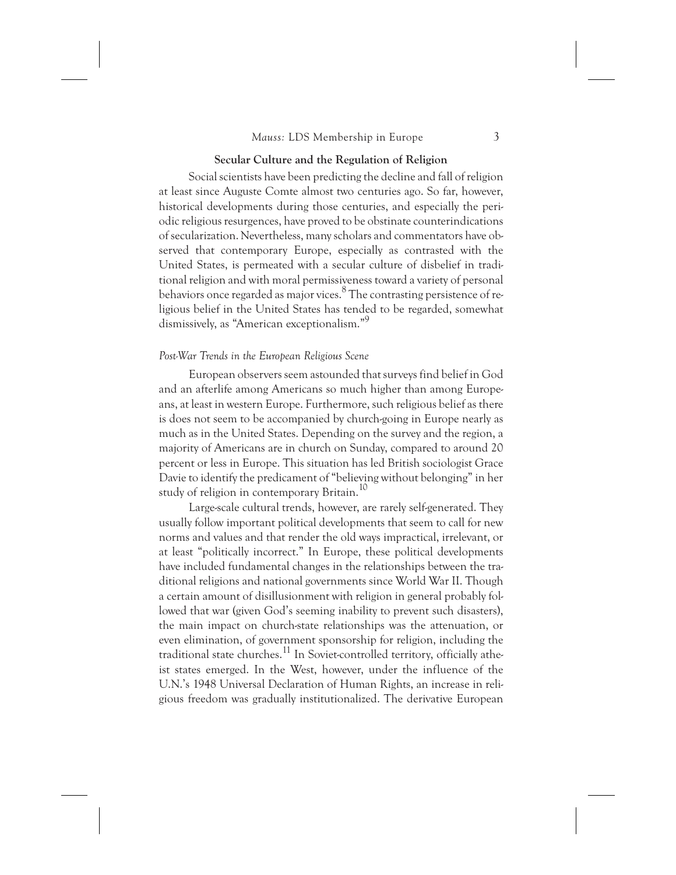## *Mauss:* LDS Membership in Europe 3

## **Secular Culture and the Regulation of Religion**

Social scientists have been predicting the decline and fall of religion at least since Auguste Comte almost two centuries ago. So far, however, historical developments during those centuries, and especially the periodic religious resurgences, have proved to be obstinate counterindications of secularization. Nevertheless, many scholars and commentators have observed that contemporary Europe, especially as contrasted with the United States, is permeated with a secular culture of disbelief in traditional religion and with moral permissiveness toward a variety of personal behaviors once regarded as major vices.<sup>8</sup> The contrasting persistence of religious belief in the United States has tended to be regarded, somewhat dismissively, as "American exceptionalism."9

## *Post-War Trends in the European Religious Scene*

European observers seem astounded that surveys find belief in God and an afterlife among Americans so much higher than among Europeans, at least in western Europe. Furthermore, such religious belief as there is does not seem to be accompanied by church-going in Europe nearly as much as in the United States. Depending on the survey and the region, a majority of Americans are in church on Sunday, compared to around 20 percent or less in Europe. This situation has led British sociologist Grace Davie to identify the predicament of "believing without belonging" in her study of religion in contemporary Britain.<sup>10</sup>

Large-scale cultural trends, however, are rarely self-generated. They usually follow important political developments that seem to call for new norms and values and that render the old ways impractical, irrelevant, or at least "politically incorrect." In Europe, these political developments have included fundamental changes in the relationships between the traditional religions and national governments since World War II. Though a certain amount of disillusionment with religion in general probably followed that war (given God's seeming inability to prevent such disasters), the main impact on church-state relationships was the attenuation, or even elimination, of government sponsorship for religion, including the traditional state churches.<sup>11</sup> In Soviet-controlled territory, officially atheist states emerged. In the West, however, under the influence of the U.N.'s 1948 Universal Declaration of Human Rights, an increase in religious freedom was gradually institutionalized. The derivative European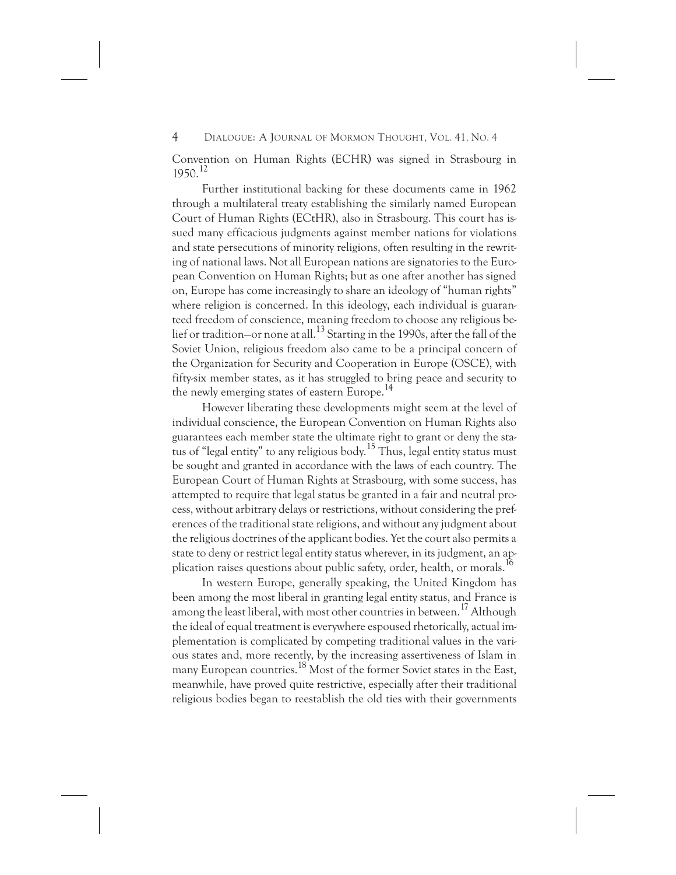Convention on Human Rights (ECHR) was signed in Strasbourg in  $1950^{12}$ 

Further institutional backing for these documents came in 1962 through a multilateral treaty establishing the similarly named European Court of Human Rights (ECtHR), also in Strasbourg. This court has issued many efficacious judgments against member nations for violations and state persecutions of minority religions, often resulting in the rewriting of national laws. Not all European nations are signatories to the European Convention on Human Rights; but as one after another has signed on, Europe has come increasingly to share an ideology of "human rights" where religion is concerned. In this ideology, each individual is guaranteed freedom of conscience, meaning freedom to choose any religious belief or tradition—or none at all.<sup>13</sup> Starting in the 1990s, after the fall of the Soviet Union, religious freedom also came to be a principal concern of the Organization for Security and Cooperation in Europe (OSCE), with fifty-six member states, as it has struggled to bring peace and security to the newly emerging states of eastern Europe.<sup>14</sup>

However liberating these developments might seem at the level of individual conscience, the European Convention on Human Rights also guarantees each member state the ultimate right to grant or deny the status of "legal entity" to any religious body.<sup>15</sup> Thus, legal entity status must be sought and granted in accordance with the laws of each country. The European Court of Human Rights at Strasbourg, with some success, has attempted to require that legal status be granted in a fair and neutral process, without arbitrary delays or restrictions, without considering the preferences of the traditional state religions, and without any judgment about the religious doctrines of the applicant bodies. Yet the court also permits a state to deny or restrict legal entity status wherever, in its judgment, an application raises questions about public safety, order, health, or morals.<sup>16</sup>

In western Europe, generally speaking, the United Kingdom has been among the most liberal in granting legal entity status, and France is among the least liberal, with most other countries in between.<sup>17</sup> Although the ideal of equal treatment is everywhere espoused rhetorically, actual implementation is complicated by competing traditional values in the various states and, more recently, by the increasing assertiveness of Islam in many European countries.<sup>18</sup> Most of the former Soviet states in the East, meanwhile, have proved quite restrictive, especially after their traditional religious bodies began to reestablish the old ties with their governments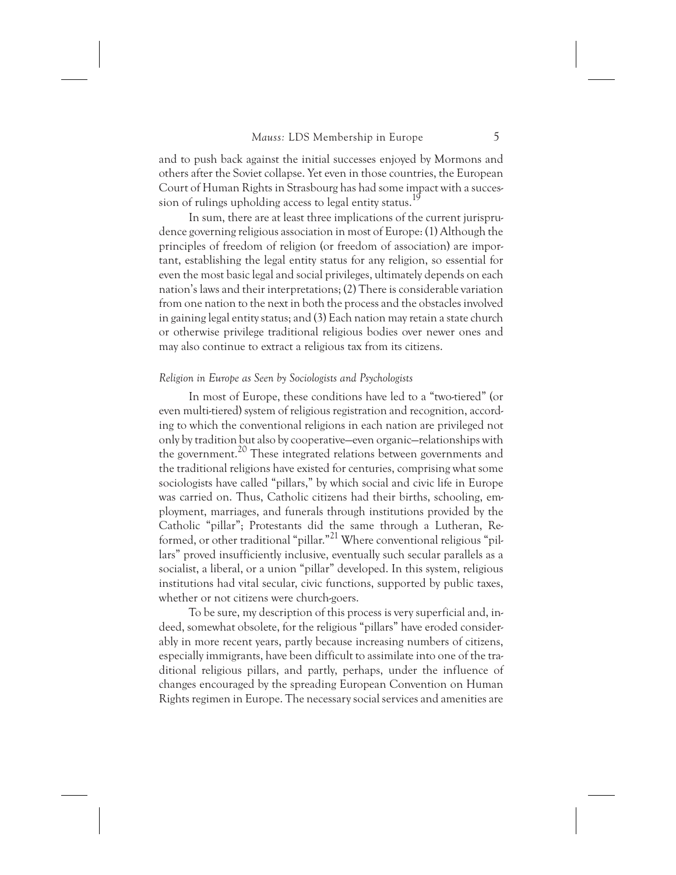and to push back against the initial successes enjoyed by Mormons and others after the Soviet collapse. Yet even in those countries, the European Court of Human Rights in Strasbourg has had some impact with a succession of rulings upholding access to legal entity status.<sup>19</sup>

In sum, there are at least three implications of the current jurisprudence governing religious association in most of Europe: (1) Although the principles of freedom of religion (or freedom of association) are important, establishing the legal entity status for any religion, so essential for even the most basic legal and social privileges, ultimately depends on each nation's laws and their interpretations; (2) There is considerable variation from one nation to the next in both the process and the obstacles involved in gaining legal entity status; and (3) Each nation may retain a state church or otherwise privilege traditional religious bodies over newer ones and may also continue to extract a religious tax from its citizens.

## *Religion in Europe as Seen by Sociologists and Psychologists*

In most of Europe, these conditions have led to a "two-tiered" (or even multi-tiered) system of religious registration and recognition, according to which the conventional religions in each nation are privileged not only by tradition but also by cooperative—even organic—relationships with the government.20 These integrated relations between governments and the traditional religions have existed for centuries, comprising what some sociologists have called "pillars," by which social and civic life in Europe was carried on. Thus, Catholic citizens had their births, schooling, employment, marriages, and funerals through institutions provided by the Catholic "pillar"; Protestants did the same through a Lutheran, Reformed, or other traditional "pillar."21 Where conventional religious "pillars" proved insufficiently inclusive, eventually such secular parallels as a socialist, a liberal, or a union "pillar" developed. In this system, religious institutions had vital secular, civic functions, supported by public taxes, whether or not citizens were church-goers.

To be sure, my description of this process is very superficial and, indeed, somewhat obsolete, for the religious "pillars" have eroded considerably in more recent years, partly because increasing numbers of citizens, especially immigrants, have been difficult to assimilate into one of the traditional religious pillars, and partly, perhaps, under the influence of changes encouraged by the spreading European Convention on Human Rights regimen in Europe. The necessary social services and amenities are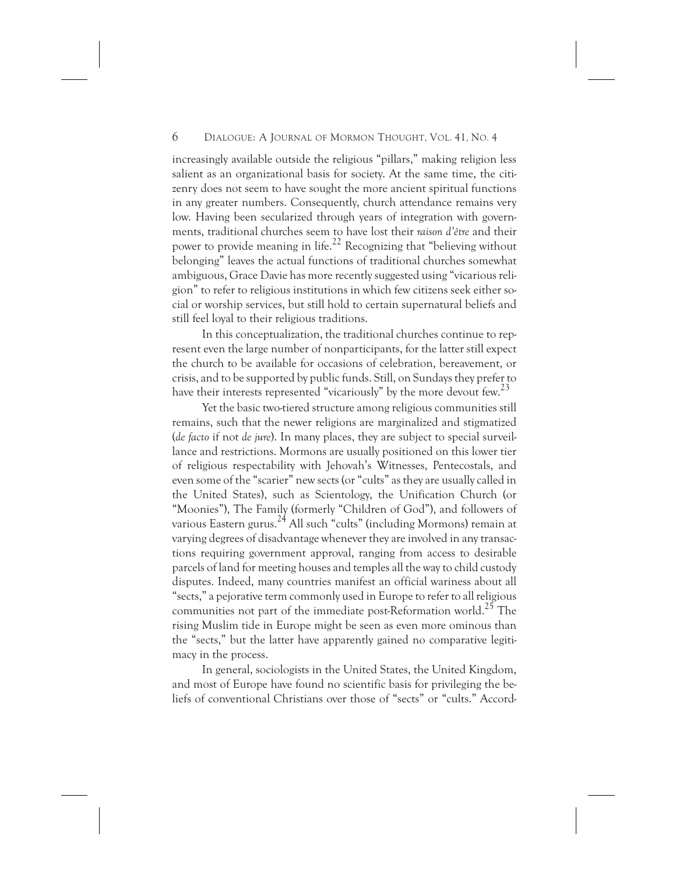increasingly available outside the religious "pillars," making religion less salient as an organizational basis for society. At the same time, the citizenry does not seem to have sought the more ancient spiritual functions in any greater numbers. Consequently, church attendance remains very low. Having been secularized through years of integration with governments, traditional churches seem to have lost their *raison d'être* and their power to provide meaning in life.<sup>22</sup> Recognizing that "believing without belonging" leaves the actual functions of traditional churches somewhat ambiguous, Grace Davie has more recently suggested using "vicarious religion" to refer to religious institutions in which few citizens seek either social or worship services, but still hold to certain supernatural beliefs and still feel loyal to their religious traditions.

In this conceptualization, the traditional churches continue to represent even the large number of nonparticipants, for the latter still expect the church to be available for occasions of celebration, bereavement, or crisis, and to be supported by public funds. Still, on Sundays they prefer to have their interests represented "vicariously" by the more devout few.<sup>23</sup>

Yet the basic two-tiered structure among religious communities still remains, such that the newer religions are marginalized and stigmatized (*de facto* if not *de jure*). In many places, they are subject to special surveillance and restrictions. Mormons are usually positioned on this lower tier of religious respectability with Jehovah's Witnesses, Pentecostals, and even some of the "scarier" new sects (or "cults" as they are usually called in the United States), such as Scientology, the Unification Church (or "Moonies"), The Family (formerly "Children of God"), and followers of various Eastern gurus.<sup>24</sup> All such "cults" (including Mormons) remain at varying degrees of disadvantage whenever they are involved in any transactions requiring government approval, ranging from access to desirable parcels of land for meeting houses and temples all the way to child custody disputes. Indeed, many countries manifest an official wariness about all "sects," a pejorative term commonly used in Europe to refer to all religious communities not part of the immediate post-Reformation world.<sup>25</sup> The rising Muslim tide in Europe might be seen as even more ominous than the "sects," but the latter have apparently gained no comparative legitimacy in the process.

In general, sociologists in the United States, the United Kingdom, and most of Europe have found no scientific basis for privileging the beliefs of conventional Christians over those of "sects" or "cults." Accord-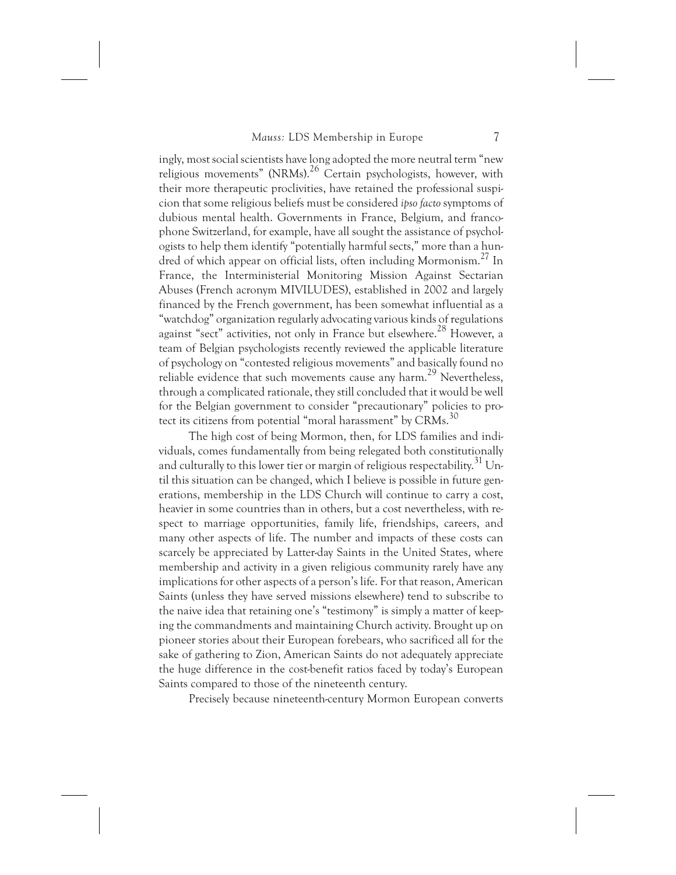ingly, most social scientists have long adopted the more neutral term "new religious movements" (NRMs).<sup>26</sup> Certain psychologists, however, with their more therapeutic proclivities, have retained the professional suspicion that some religious beliefs must be considered *ipso facto* symptoms of dubious mental health. Governments in France, Belgium, and francophone Switzerland, for example, have all sought the assistance of psychologists to help them identify "potentially harmful sects," more than a hundred of which appear on official lists, often including Mormonism.<sup>27</sup> In France, the Interministerial Monitoring Mission Against Sectarian Abuses (French acronym MIVILUDES), established in 2002 and largely financed by the French government, has been somewhat influential as a "watchdog" organization regularly advocating various kinds of regulations against "sect" activities, not only in France but elsewhere.<sup>28</sup> However, a team of Belgian psychologists recently reviewed the applicable literature of psychology on "contested religious movements" and basically found no reliable evidence that such movements cause any harm.<sup>29</sup> Nevertheless, through a complicated rationale, they still concluded that it would be well for the Belgian government to consider "precautionary" policies to protect its citizens from potential "moral harassment" by CRMs. $30$ 

The high cost of being Mormon, then, for LDS families and individuals, comes fundamentally from being relegated both constitutionally and culturally to this lower tier or margin of religious respectability.<sup>31</sup> Until this situation can be changed, which I believe is possible in future generations, membership in the LDS Church will continue to carry a cost, heavier in some countries than in others, but a cost nevertheless, with respect to marriage opportunities, family life, friendships, careers, and many other aspects of life. The number and impacts of these costs can scarcely be appreciated by Latter-day Saints in the United States, where membership and activity in a given religious community rarely have any implications for other aspects of a person's life. For that reason, American Saints (unless they have served missions elsewhere) tend to subscribe to the naive idea that retaining one's "testimony" is simply a matter of keeping the commandments and maintaining Church activity. Brought up on pioneer stories about their European forebears, who sacrificed all for the sake of gathering to Zion, American Saints do not adequately appreciate the huge difference in the cost-benefit ratios faced by today's European Saints compared to those of the nineteenth century.

Precisely because nineteenth-century Mormon European converts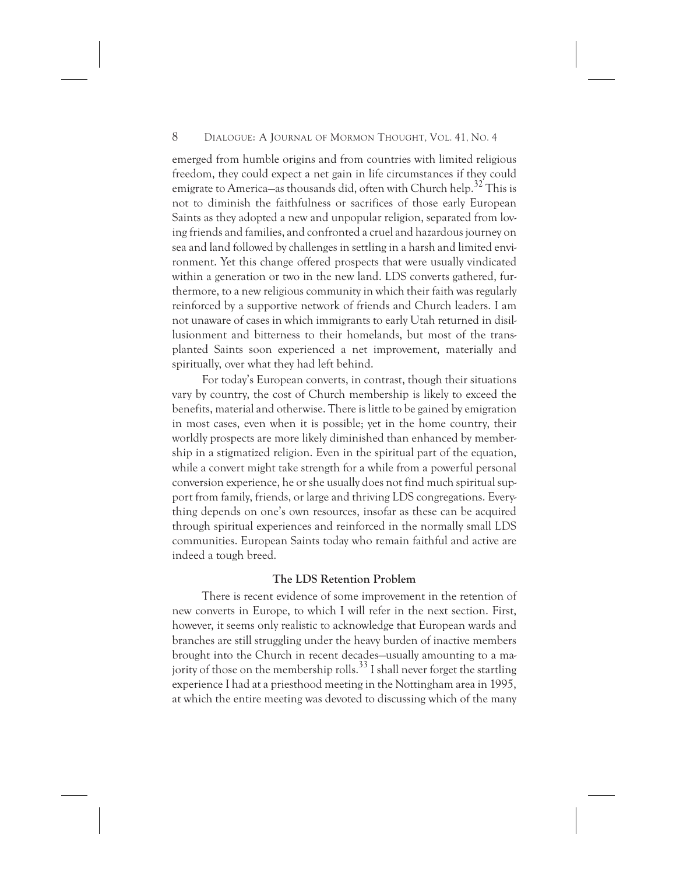emerged from humble origins and from countries with limited religious freedom, they could expect a net gain in life circumstances if they could emigrate to America—as thousands did, often with Church help.<sup>32</sup> This is not to diminish the faithfulness or sacrifices of those early European Saints as they adopted a new and unpopular religion, separated from loving friends and families, and confronted a cruel and hazardous journey on sea and land followed by challenges in settling in a harsh and limited environment. Yet this change offered prospects that were usually vindicated within a generation or two in the new land. LDS converts gathered, furthermore, to a new religious community in which their faith was regularly reinforced by a supportive network of friends and Church leaders. I am not unaware of cases in which immigrants to early Utah returned in disillusionment and bitterness to their homelands, but most of the transplanted Saints soon experienced a net improvement, materially and spiritually, over what they had left behind.

For today's European converts, in contrast, though their situations vary by country, the cost of Church membership is likely to exceed the benefits, material and otherwise. There is little to be gained by emigration in most cases, even when it is possible; yet in the home country, their worldly prospects are more likely diminished than enhanced by membership in a stigmatized religion. Even in the spiritual part of the equation, while a convert might take strength for a while from a powerful personal conversion experience, he or she usually does not find much spiritual support from family, friends, or large and thriving LDS congregations. Everything depends on one's own resources, insofar as these can be acquired through spiritual experiences and reinforced in the normally small LDS communities. European Saints today who remain faithful and active are indeed a tough breed.

## **The LDS Retention Problem**

There is recent evidence of some improvement in the retention of new converts in Europe, to which I will refer in the next section. First, however, it seems only realistic to acknowledge that European wards and branches are still struggling under the heavy burden of inactive members brought into the Church in recent decades—usually amounting to a majority of those on the membership rolls.<sup>33</sup> I shall never forget the startling experience I had at a priesthood meeting in the Nottingham area in 1995, at which the entire meeting was devoted to discussing which of the many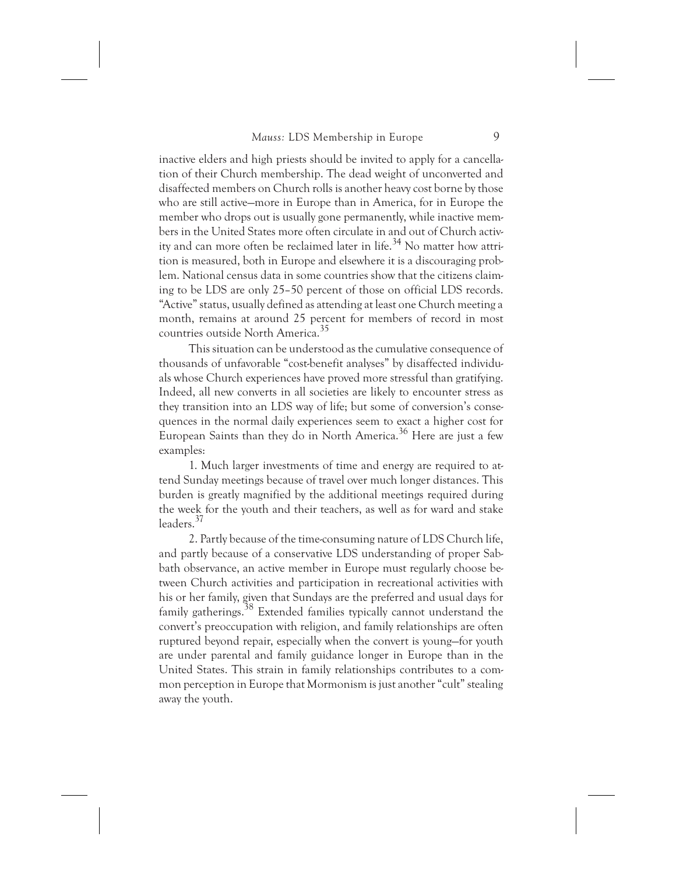inactive elders and high priests should be invited to apply for a cancellation of their Church membership. The dead weight of unconverted and disaffected members on Church rolls is another heavy cost borne by those who are still active—more in Europe than in America, for in Europe the member who drops out is usually gone permanently, while inactive members in the United States more often circulate in and out of Church activity and can more often be reclaimed later in life.<sup>34</sup> No matter how attrition is measured, both in Europe and elsewhere it is a discouraging problem. National census data in some countries show that the citizens claiming to be LDS are only 25–50 percent of those on official LDS records. "Active" status, usually defined as attending at least one Church meeting a month, remains at around 25 percent for members of record in most countries outside North America.35

This situation can be understood as the cumulative consequence of thousands of unfavorable "cost-benefit analyses" by disaffected individuals whose Church experiences have proved more stressful than gratifying. Indeed, all new converts in all societies are likely to encounter stress as they transition into an LDS way of life; but some of conversion's consequences in the normal daily experiences seem to exact a higher cost for European Saints than they do in North America.<sup>36</sup> Here are just a few examples:

1. Much larger investments of time and energy are required to attend Sunday meetings because of travel over much longer distances. This burden is greatly magnified by the additional meetings required during the week for the youth and their teachers, as well as for ward and stake leaders.37

2. Partly because of the time-consuming nature of LDS Church life, and partly because of a conservative LDS understanding of proper Sabbath observance, an active member in Europe must regularly choose between Church activities and participation in recreational activities with his or her family, given that Sundays are the preferred and usual days for family gatherings.38 Extended families typically cannot understand the convert's preoccupation with religion, and family relationships are often ruptured beyond repair, especially when the convert is young—for youth are under parental and family guidance longer in Europe than in the United States. This strain in family relationships contributes to a common perception in Europe that Mormonism is just another "cult" stealing away the youth.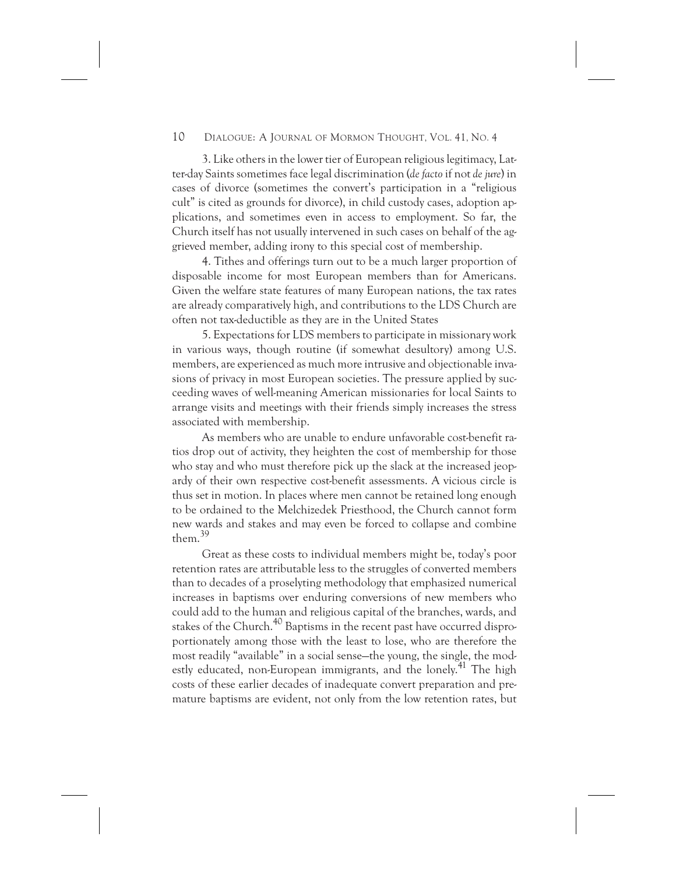3. Like others in the lower tier of European religious legitimacy, Latter-day Saints sometimes face legal discrimination (*de facto*if not *de jure*) in cases of divorce (sometimes the convert's participation in a "religious cult" is cited as grounds for divorce), in child custody cases, adoption applications, and sometimes even in access to employment. So far, the Church itself has not usually intervened in such cases on behalf of the aggrieved member, adding irony to this special cost of membership.

4. Tithes and offerings turn out to be a much larger proportion of disposable income for most European members than for Americans. Given the welfare state features of many European nations, the tax rates are already comparatively high, and contributions to the LDS Church are often not tax-deductible as they are in the United States

5. Expectations for LDS members to participate in missionary work in various ways, though routine (if somewhat desultory) among U.S. members, are experienced as much more intrusive and objectionable invasions of privacy in most European societies. The pressure applied by succeeding waves of well-meaning American missionaries for local Saints to arrange visits and meetings with their friends simply increases the stress associated with membership.

As members who are unable to endure unfavorable cost-benefit ratios drop out of activity, they heighten the cost of membership for those who stay and who must therefore pick up the slack at the increased jeopardy of their own respective cost-benefit assessments. A vicious circle is thus set in motion. In places where men cannot be retained long enough to be ordained to the Melchizedek Priesthood, the Church cannot form new wards and stakes and may even be forced to collapse and combine them.39

Great as these costs to individual members might be, today's poor retention rates are attributable less to the struggles of converted members than to decades of a proselyting methodology that emphasized numerical increases in baptisms over enduring conversions of new members who could add to the human and religious capital of the branches, wards, and stakes of the Church.<sup>40</sup> Baptisms in the recent past have occurred disproportionately among those with the least to lose, who are therefore the most readily "available" in a social sense—the young, the single, the modestly educated, non-European immigrants, and the lonely.<sup>41</sup> The high costs of these earlier decades of inadequate convert preparation and premature baptisms are evident, not only from the low retention rates, but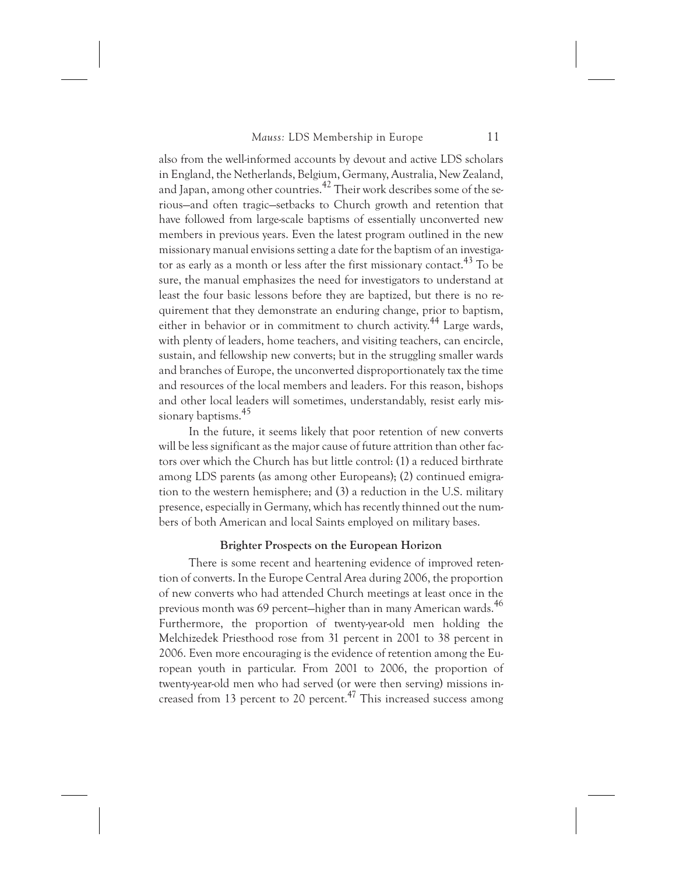also from the well-informed accounts by devout and active LDS scholars in England, the Netherlands, Belgium, Germany, Australia, New Zealand, and Japan, among other countries.42 Their work describes some of the serious—and often tragic—setbacks to Church growth and retention that have followed from large-scale baptisms of essentially unconverted new members in previous years. Even the latest program outlined in the new missionary manual envisions setting a date for the baptism of an investigator as early as a month or less after the first missionary contact.<sup>43</sup> To be sure, the manual emphasizes the need for investigators to understand at least the four basic lessons before they are baptized, but there is no requirement that they demonstrate an enduring change, prior to baptism, either in behavior or in commitment to church activity.<sup>44</sup> Large wards, with plenty of leaders, home teachers, and visiting teachers, can encircle, sustain, and fellowship new converts; but in the struggling smaller wards and branches of Europe, the unconverted disproportionately tax the time and resources of the local members and leaders. For this reason, bishops and other local leaders will sometimes, understandably, resist early missionary baptisms.45

In the future, it seems likely that poor retention of new converts will be less significant as the major cause of future attrition than other factors over which the Church has but little control: (1) a reduced birthrate among LDS parents (as among other Europeans); (2) continued emigration to the western hemisphere; and (3) a reduction in the U.S. military presence, especially in Germany, which has recently thinned out the numbers of both American and local Saints employed on military bases.

## **Brighter Prospects on the European Horizon**

There is some recent and heartening evidence of improved retention of converts. In the Europe Central Area during 2006, the proportion of new converts who had attended Church meetings at least once in the previous month was 69 percent—higher than in many American wards.<sup>46</sup> Furthermore, the proportion of twenty-year-old men holding the Melchizedek Priesthood rose from 31 percent in 2001 to 38 percent in 2006. Even more encouraging is the evidence of retention among the European youth in particular. From 2001 to 2006, the proportion of twenty-year-old men who had served (or were then serving) missions increased from 13 percent to 20 percent.<sup>47</sup> This increased success among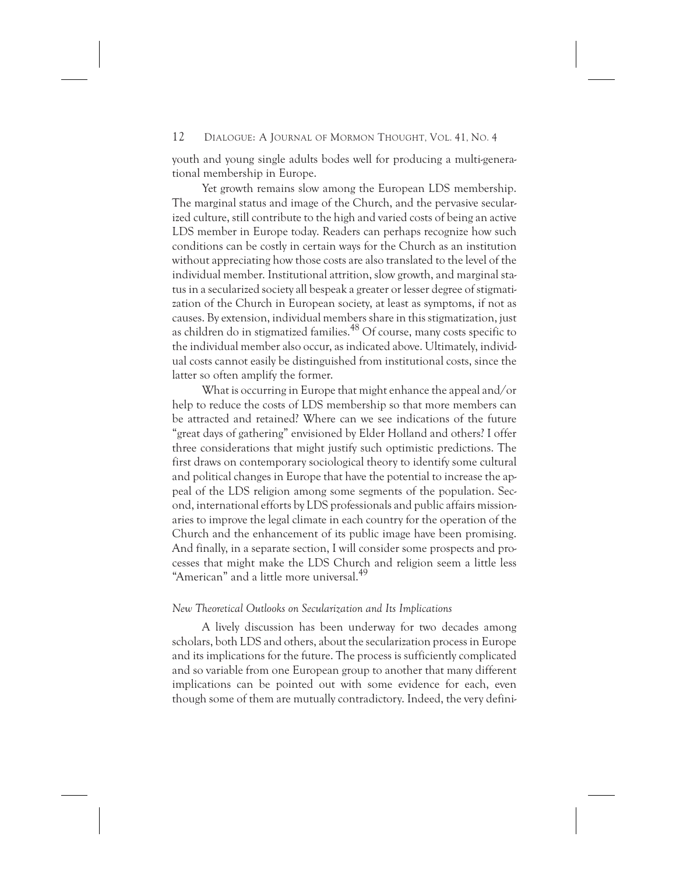youth and young single adults bodes well for producing a multi-generational membership in Europe.

Yet growth remains slow among the European LDS membership. The marginal status and image of the Church, and the pervasive secularized culture, still contribute to the high and varied costs of being an active LDS member in Europe today. Readers can perhaps recognize how such conditions can be costly in certain ways for the Church as an institution without appreciating how those costs are also translated to the level of the individual member. Institutional attrition, slow growth, and marginal status in a secularized society all bespeak a greater or lesser degree of stigmatization of the Church in European society, at least as symptoms, if not as causes. By extension, individual members share in this stigmatization, just as children do in stigmatized families.48 Of course, many costs specific to the individual member also occur, as indicated above. Ultimately, individual costs cannot easily be distinguished from institutional costs, since the latter so often amplify the former.

What is occurring in Europe that might enhance the appeal and/or help to reduce the costs of LDS membership so that more members can be attracted and retained? Where can we see indications of the future "great days of gathering" envisioned by Elder Holland and others? I offer three considerations that might justify such optimistic predictions. The first draws on contemporary sociological theory to identify some cultural and political changes in Europe that have the potential to increase the appeal of the LDS religion among some segments of the population. Second, international efforts by LDS professionals and public affairs missionaries to improve the legal climate in each country for the operation of the Church and the enhancement of its public image have been promising. And finally, in a separate section, I will consider some prospects and processes that might make the LDS Church and religion seem a little less "American" and a little more universal.<sup>49</sup>

## *New Theoretical Outlooks on Secularization and Its Implications*

A lively discussion has been underway for two decades among scholars, both LDS and others, about the secularization process in Europe and its implications for the future. The process is sufficiently complicated and so variable from one European group to another that many different implications can be pointed out with some evidence for each, even though some of them are mutually contradictory. Indeed, the very defini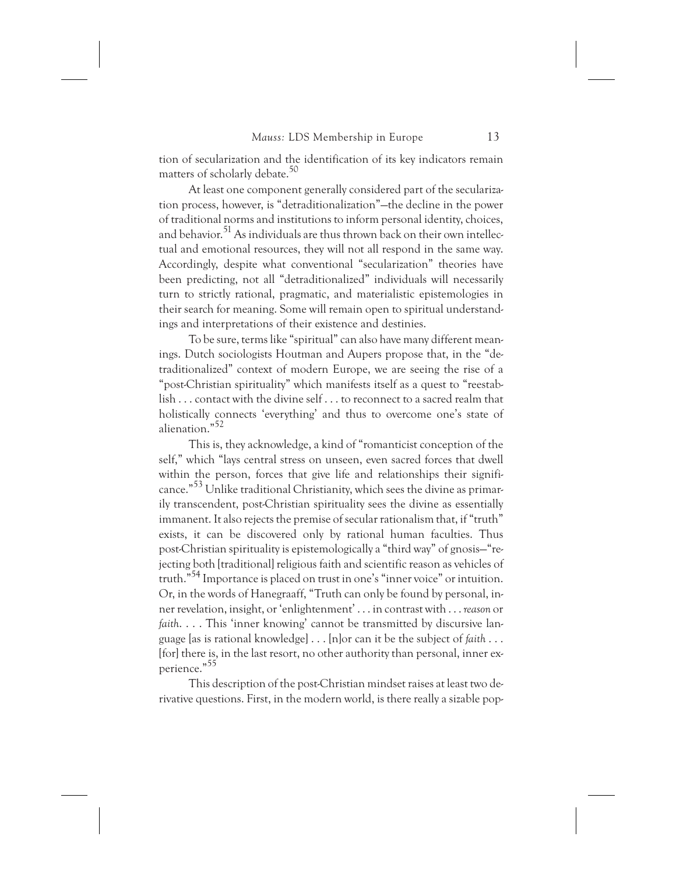tion of secularization and the identification of its key indicators remain matters of scholarly debate.50

At least one component generally considered part of the secularization process, however, is "detraditionalization"—the decline in the power of traditional norms and institutions to inform personal identity, choices, and behavior.<sup>51</sup> As individuals are thus thrown back on their own intellectual and emotional resources, they will not all respond in the same way. Accordingly, despite what conventional "secularization" theories have been predicting, not all "detraditionalized" individuals will necessarily turn to strictly rational, pragmatic, and materialistic epistemologies in their search for meaning. Some will remain open to spiritual understandings and interpretations of their existence and destinies.

To be sure, terms like "spiritual" can also have many different meanings. Dutch sociologists Houtman and Aupers propose that, in the "detraditionalized" context of modern Europe, we are seeing the rise of a "post-Christian spirituality" which manifests itself as a quest to "reestablish . . . contact with the divine self . . . to reconnect to a sacred realm that holistically connects 'everything' and thus to overcome one's state of alienation."52

This is, they acknowledge, a kind of "romanticist conception of the self," which "lays central stress on unseen, even sacred forces that dwell within the person, forces that give life and relationships their significance."53 Unlike traditional Christianity, which sees the divine as primarily transcendent, post-Christian spirituality sees the divine as essentially immanent. It also rejects the premise of secular rationalism that, if "truth" exists, it can be discovered only by rational human faculties. Thus post-Christian spirituality is epistemologically a "third way" of gnosis—"rejecting both [traditional] religious faith and scientific reason as vehicles of truth."<sup>54</sup> Importance is placed on trust in one's "inner voice" or intuition. Or, in the words of Hanegraaff, "Truth can only be found by personal, inner revelation, insight, or 'enlightenment' . . . in contrast with . . . *reason* or *faith*.... This 'inner knowing' cannot be transmitted by discursive language [as is rational knowledge] . . . [n]or can it be the subject of *faith* ... [for] there is, in the last resort, no other authority than personal, inner experience."55

This description of the post-Christian mindset raises at least two derivative questions. First, in the modern world, is there really a sizable pop-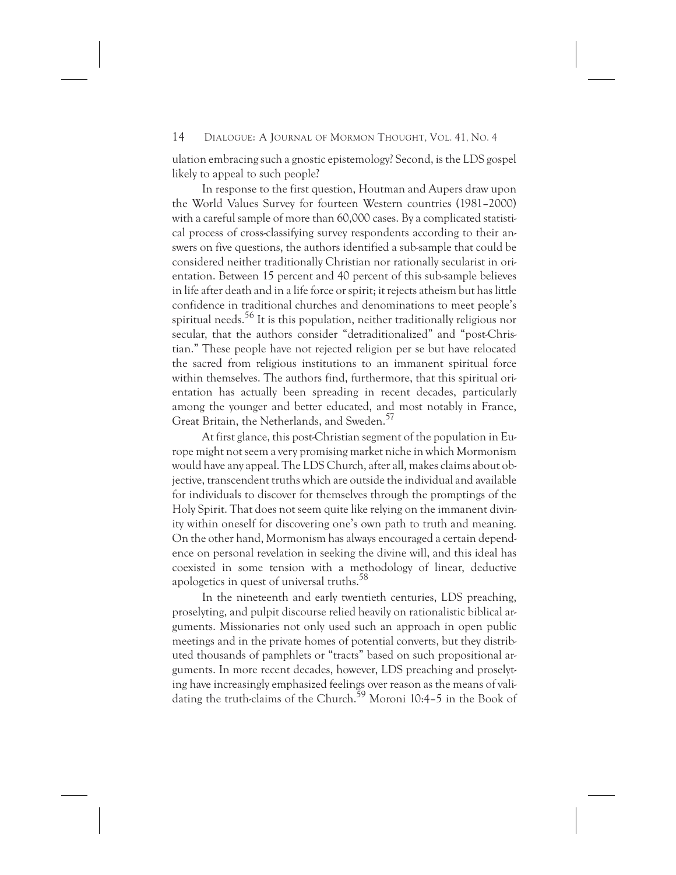ulation embracing such a gnostic epistemology? Second, is the LDS gospel likely to appeal to such people?

In response to the first question, Houtman and Aupers draw upon the World Values Survey for fourteen Western countries (1981–2000) with a careful sample of more than 60,000 cases. By a complicated statistical process of cross-classifying survey respondents according to their answers on five questions, the authors identified a sub-sample that could be considered neither traditionally Christian nor rationally secularist in orientation. Between 15 percent and 40 percent of this sub-sample believes in life after death and in a life force or spirit; it rejects atheism but has little confidence in traditional churches and denominations to meet people's spiritual needs.<sup>56</sup> It is this population, neither traditionally religious nor secular, that the authors consider "detraditionalized" and "post-Christian." These people have not rejected religion per se but have relocated the sacred from religious institutions to an immanent spiritual force within themselves. The authors find, furthermore, that this spiritual orientation has actually been spreading in recent decades, particularly among the younger and better educated, and most notably in France, Great Britain, the Netherlands, and Sweden.<sup>57</sup>

At first glance, this post-Christian segment of the population in Europe might not seem a very promising market niche in which Mormonism would have any appeal. The LDS Church, after all, makes claims about objective, transcendent truths which are outside the individual and available for individuals to discover for themselves through the promptings of the Holy Spirit. That does not seem quite like relying on the immanent divinity within oneself for discovering one's own path to truth and meaning. On the other hand, Mormonism has always encouraged a certain dependence on personal revelation in seeking the divine will, and this ideal has coexisted in some tension with a methodology of linear, deductive apologetics in quest of universal truths. $^{58}$ 

In the nineteenth and early twentieth centuries, LDS preaching, proselyting, and pulpit discourse relied heavily on rationalistic biblical arguments. Missionaries not only used such an approach in open public meetings and in the private homes of potential converts, but they distributed thousands of pamphlets or "tracts" based on such propositional arguments. In more recent decades, however, LDS preaching and proselyting have increasingly emphasized feelings over reason as the means of validating the truth-claims of the Church.<sup>59</sup> Moroni 10:4-5 in the Book of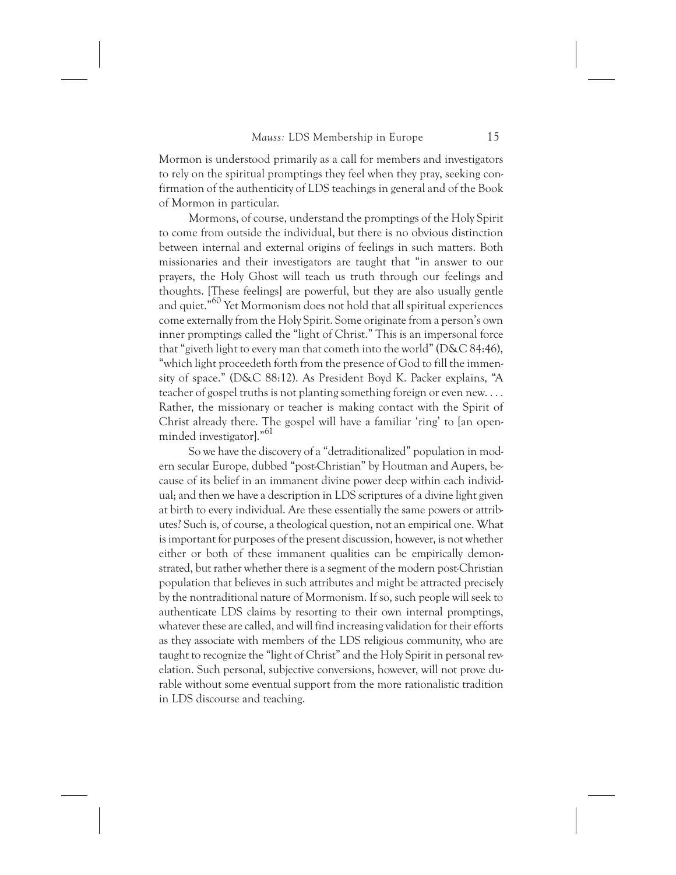Mormon is understood primarily as a call for members and investigators to rely on the spiritual promptings they feel when they pray, seeking confirmation of the authenticity of LDS teachings in general and of the Book of Mormon in particular.

Mormons, of course, understand the promptings of the Holy Spirit to come from outside the individual, but there is no obvious distinction between internal and external origins of feelings in such matters. Both missionaries and their investigators are taught that "in answer to our prayers, the Holy Ghost will teach us truth through our feelings and thoughts. [These feelings] are powerful, but they are also usually gentle and quiet."60 Yet Mormonism does not hold that all spiritual experiences come externally from the Holy Spirit. Some originate from a person's own inner promptings called the "light of Christ." This is an impersonal force that "giveth light to every man that cometh into the world" (D&C 84:46), "which light proceedeth forth from the presence of God to fill the immensity of space." (D&C 88:12). As President Boyd K. Packer explains, "A teacher of gospel truths is not planting something foreign or even new.... Rather, the missionary or teacher is making contact with the Spirit of Christ already there. The gospel will have a familiar 'ring' to [an openminded investigator]."61

So we have the discovery of a "detraditionalized" population in modern secular Europe, dubbed "post-Christian" by Houtman and Aupers, because of its belief in an immanent divine power deep within each individual; and then we have a description in LDS scriptures of a divine light given at birth to every individual. Are these essentially the same powers or attributes? Such is, of course, a theological question, not an empirical one. What is important for purposes of the present discussion, however, is not whether either or both of these immanent qualities can be empirically demonstrated, but rather whether there is a segment of the modern post-Christian population that believes in such attributes and might be attracted precisely by the nontraditional nature of Mormonism. If so, such people will seek to authenticate LDS claims by resorting to their own internal promptings, whatever these are called, and will find increasing validation for their efforts as they associate with members of the LDS religious community, who are taught to recognize the "light of Christ" and the Holy Spirit in personal revelation. Such personal, subjective conversions, however, will not prove durable without some eventual support from the more rationalistic tradition in LDS discourse and teaching.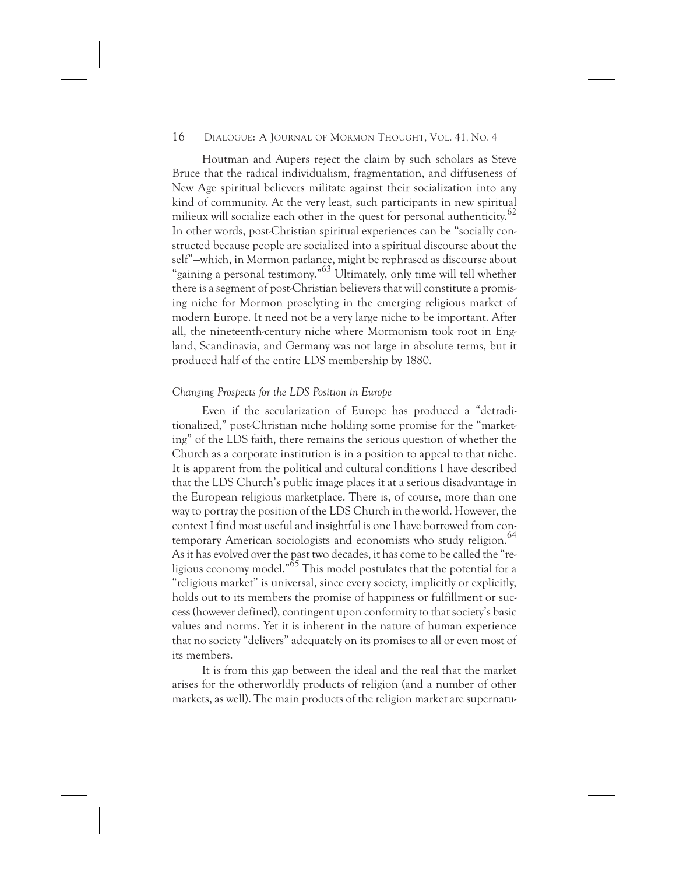Houtman and Aupers reject the claim by such scholars as Steve Bruce that the radical individualism, fragmentation, and diffuseness of New Age spiritual believers militate against their socialization into any kind of community. At the very least, such participants in new spiritual milieux will socialize each other in the quest for personal authenticity.<sup>62</sup> In other words, post-Christian spiritual experiences can be "socially constructed because people are socialized into a spiritual discourse about the self"—which, in Mormon parlance, might be rephrased as discourse about "gaining a personal testimony."63 Ultimately, only time will tell whether there is a segment of post-Christian believers that will constitute a promising niche for Mormon proselyting in the emerging religious market of modern Europe. It need not be a very large niche to be important. After all, the nineteenth-century niche where Mormonism took root in England, Scandinavia, and Germany was not large in absolute terms, but it produced half of the entire LDS membership by 1880.

## *Changing Prospects for the LDS Position in Europe*

Even if the secularization of Europe has produced a "detraditionalized," post-Christian niche holding some promise for the "marketing" of the LDS faith, there remains the serious question of whether the Church as a corporate institution is in a position to appeal to that niche. It is apparent from the political and cultural conditions I have described that the LDS Church's public image places it at a serious disadvantage in the European religious marketplace. There is, of course, more than one way to portray the position of the LDS Church in the world. However, the context I find most useful and insightful is one I have borrowed from contemporary American sociologists and economists who study religion.<sup>64</sup> As it has evolved over the past two decades, it has come to be called the "religious economy model."<sup>65</sup> This model postulates that the potential for a "religious market" is universal, since every society, implicitly or explicitly, holds out to its members the promise of happiness or fulfillment or success (however defined), contingent upon conformity to that society's basic values and norms. Yet it is inherent in the nature of human experience that no society "delivers" adequately on its promises to all or even most of its members.

It is from this gap between the ideal and the real that the market arises for the otherworldly products of religion (and a number of other markets, as well). The main products of the religion market are supernatu-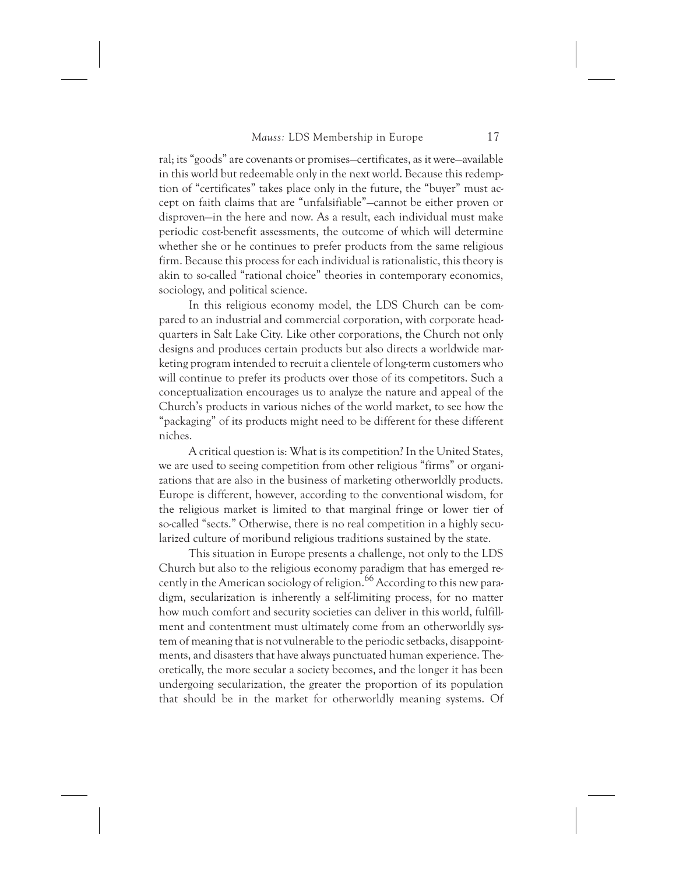ral; its "goods" are covenants or promises—certificates, as it were—available in this world but redeemable only in the next world. Because this redemption of "certificates" takes place only in the future, the "buyer" must accept on faith claims that are "unfalsifiable"—cannot be either proven or disproven—in the here and now. As a result, each individual must make periodic cost-benefit assessments, the outcome of which will determine whether she or he continues to prefer products from the same religious firm. Because this process for each individual is rationalistic, this theory is akin to so-called "rational choice" theories in contemporary economics, sociology, and political science.

In this religious economy model, the LDS Church can be compared to an industrial and commercial corporation, with corporate headquarters in Salt Lake City. Like other corporations, the Church not only designs and produces certain products but also directs a worldwide marketing program intended to recruit a clientele of long-term customers who will continue to prefer its products over those of its competitors. Such a conceptualization encourages us to analyze the nature and appeal of the Church's products in various niches of the world market, to see how the "packaging" of its products might need to be different for these different niches.

A critical question is: What is its competition? In the United States, we are used to seeing competition from other religious "firms" or organizations that are also in the business of marketing otherworldly products. Europe is different, however, according to the conventional wisdom, for the religious market is limited to that marginal fringe or lower tier of so-called "sects." Otherwise, there is no real competition in a highly secularized culture of moribund religious traditions sustained by the state.

This situation in Europe presents a challenge, not only to the LDS Church but also to the religious economy paradigm that has emerged recently in the American sociology of religion.<sup>66</sup> According to this new paradigm, secularization is inherently a self-limiting process, for no matter how much comfort and security societies can deliver in this world, fulfillment and contentment must ultimately come from an otherworldly system of meaning that is not vulnerable to the periodic setbacks, disappointments, and disasters that have always punctuated human experience. Theoretically, the more secular a society becomes, and the longer it has been undergoing secularization, the greater the proportion of its population that should be in the market for otherworldly meaning systems. Of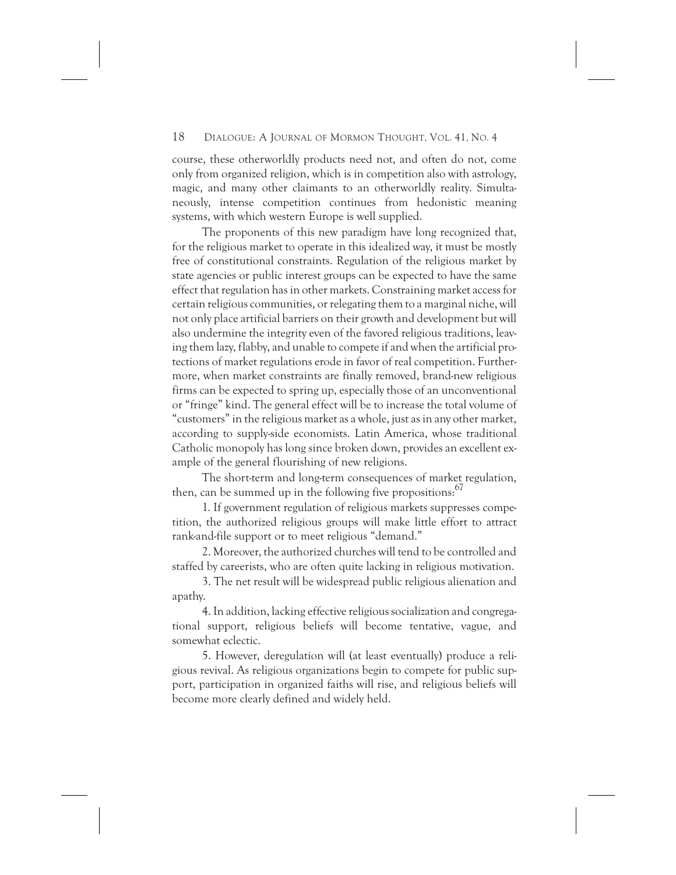course, these otherworldly products need not, and often do not, come only from organized religion, which is in competition also with astrology, magic, and many other claimants to an otherworldly reality. Simultaneously, intense competition continues from hedonistic meaning systems, with which western Europe is well supplied.

The proponents of this new paradigm have long recognized that, for the religious market to operate in this idealized way, it must be mostly free of constitutional constraints. Regulation of the religious market by state agencies or public interest groups can be expected to have the same effect that regulation has in other markets. Constraining market access for certain religious communities, or relegating them to a marginal niche, will not only place artificial barriers on their growth and development but will also undermine the integrity even of the favored religious traditions, leaving them lazy, flabby, and unable to compete if and when the artificial protections of market regulations erode in favor of real competition. Furthermore, when market constraints are finally removed, brand-new religious firms can be expected to spring up, especially those of an unconventional or "fringe" kind. The general effect will be to increase the total volume of "customers" in the religious market as a whole, just as in any other market, according to supply-side economists. Latin America, whose traditional Catholic monopoly has long since broken down, provides an excellent example of the general flourishing of new religions.

The short-term and long-term consequences of market regulation, then, can be summed up in the following five propositions:  $67$ 

1. If government regulation of religious markets suppresses competition, the authorized religious groups will make little effort to attract rank-and-file support or to meet religious "demand."

2. Moreover, the authorized churches will tend to be controlled and staffed by careerists, who are often quite lacking in religious motivation.

3. The net result will be widespread public religious alienation and apathy.

4. In addition, lacking effective religious socialization and congregational support, religious beliefs will become tentative, vague, and somewhat eclectic.

5. However, deregulation will (at least eventually) produce a religious revival. As religious organizations begin to compete for public support, participation in organized faiths will rise, and religious beliefs will become more clearly defined and widely held.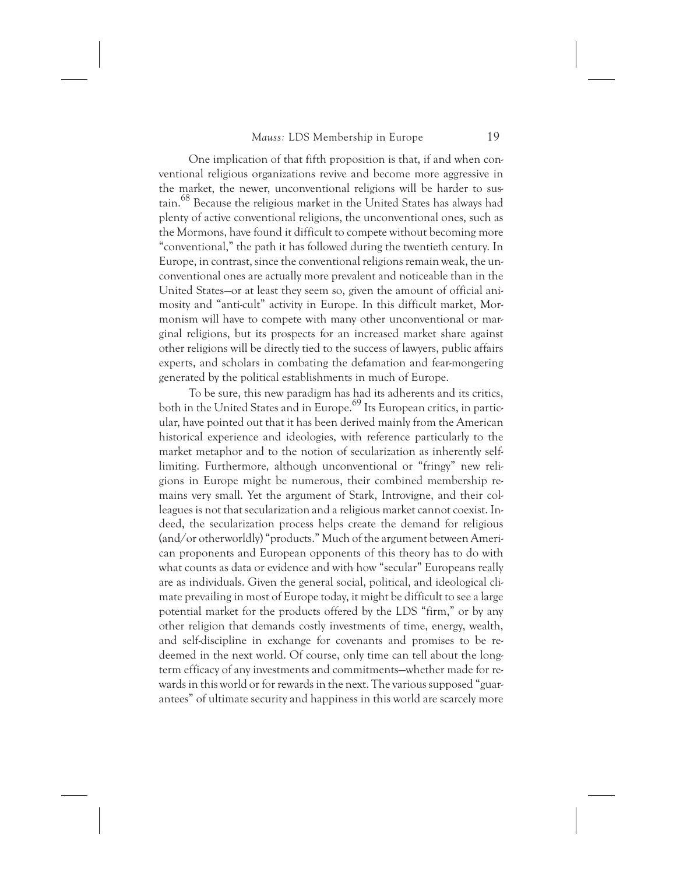One implication of that fifth proposition is that, if and when conventional religious organizations revive and become more aggressive in the market, the newer, unconventional religions will be harder to sustain.<sup>68</sup> Because the religious market in the United States has always had plenty of active conventional religions, the unconventional ones, such as the Mormons, have found it difficult to compete without becoming more "conventional," the path it has followed during the twentieth century. In Europe, in contrast, since the conventional religions remain weak, the unconventional ones are actually more prevalent and noticeable than in the United States—or at least they seem so, given the amount of official animosity and "anti-cult" activity in Europe. In this difficult market, Mormonism will have to compete with many other unconventional or marginal religions, but its prospects for an increased market share against other religions will be directly tied to the success of lawyers, public affairs experts, and scholars in combating the defamation and fear-mongering generated by the political establishments in much of Europe.

To be sure, this new paradigm has had its adherents and its critics, both in the United States and in Europe.<sup>69</sup> Its European critics, in particular, have pointed out that it has been derived mainly from the American historical experience and ideologies, with reference particularly to the market metaphor and to the notion of secularization as inherently selflimiting. Furthermore, although unconventional or "fringy" new religions in Europe might be numerous, their combined membership remains very small. Yet the argument of Stark, Introvigne, and their colleagues is not that secularization and a religious market cannot coexist. Indeed, the secularization process helps create the demand for religious (and/or otherworldly) "products." Much of the argument between American proponents and European opponents of this theory has to do with what counts as data or evidence and with how "secular" Europeans really are as individuals. Given the general social, political, and ideological climate prevailing in most of Europe today, it might be difficult to see a large potential market for the products offered by the LDS "firm," or by any other religion that demands costly investments of time, energy, wealth, and self-discipline in exchange for covenants and promises to be redeemed in the next world. Of course, only time can tell about the longterm efficacy of any investments and commitments—whether made for rewards in this world or for rewards in the next. The various supposed "guarantees" of ultimate security and happiness in this world are scarcely more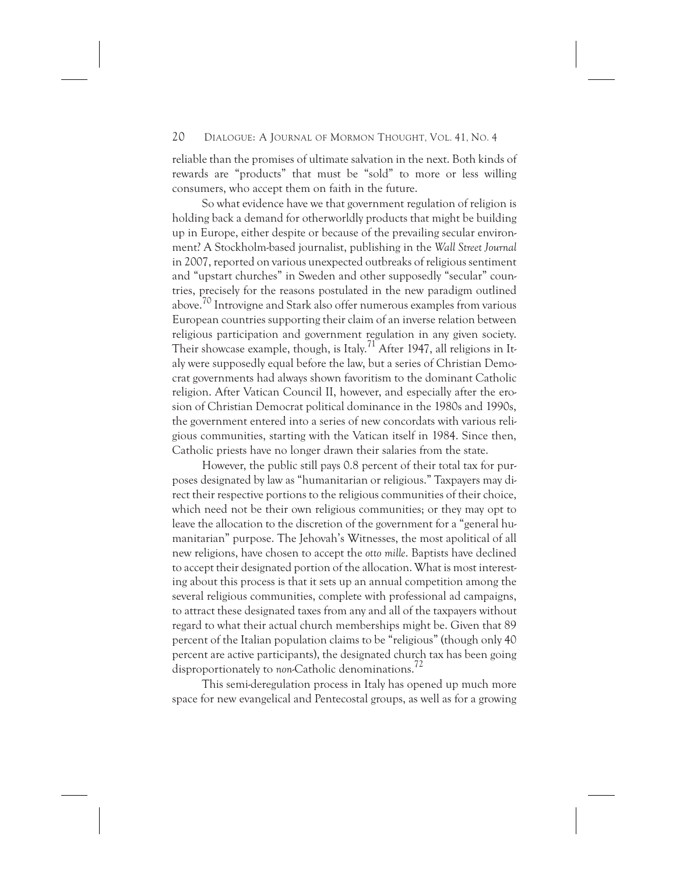reliable than the promises of ultimate salvation in the next. Both kinds of rewards are "products" that must be "sold" to more or less willing consumers, who accept them on faith in the future.

So what evidence have we that government regulation of religion is holding back a demand for otherworldly products that might be building up in Europe, either despite or because of the prevailing secular environment? A Stockholm-based journalist, publishing in the *Wall Street Journal* in 2007, reported on various unexpected outbreaks of religious sentiment and "upstart churches" in Sweden and other supposedly "secular" countries, precisely for the reasons postulated in the new paradigm outlined above.70 Introvigne and Stark also offer numerous examples from various European countries supporting their claim of an inverse relation between religious participation and government regulation in any given society. Their showcase example, though, is Italy.<sup>71</sup> After 1947, all religions in Italy were supposedly equal before the law, but a series of Christian Democrat governments had always shown favoritism to the dominant Catholic religion. After Vatican Council II, however, and especially after the erosion of Christian Democrat political dominance in the 1980s and 1990s, the government entered into a series of new concordats with various religious communities, starting with the Vatican itself in 1984. Since then, Catholic priests have no longer drawn their salaries from the state.

However, the public still pays 0.8 percent of their total tax for purposes designated by law as "humanitarian or religious." Taxpayers may direct their respective portions to the religious communities of their choice, which need not be their own religious communities; or they may opt to leave the allocation to the discretion of the government for a "general humanitarian" purpose. The Jehovah's Witnesses, the most apolitical of all new religions, have chosen to accept the *otto mille*. Baptists have declined to accept their designated portion of the allocation. What is most interesting about this process is that it sets up an annual competition among the several religious communities, complete with professional ad campaigns, to attract these designated taxes from any and all of the taxpayers without regard to what their actual church memberships might be. Given that 89 percent of the Italian population claims to be "religious" (though only 40 percent are active participants), the designated church tax has been going disproportionately to *non*-Catholic denominations.72

This semi-deregulation process in Italy has opened up much more space for new evangelical and Pentecostal groups, as well as for a growing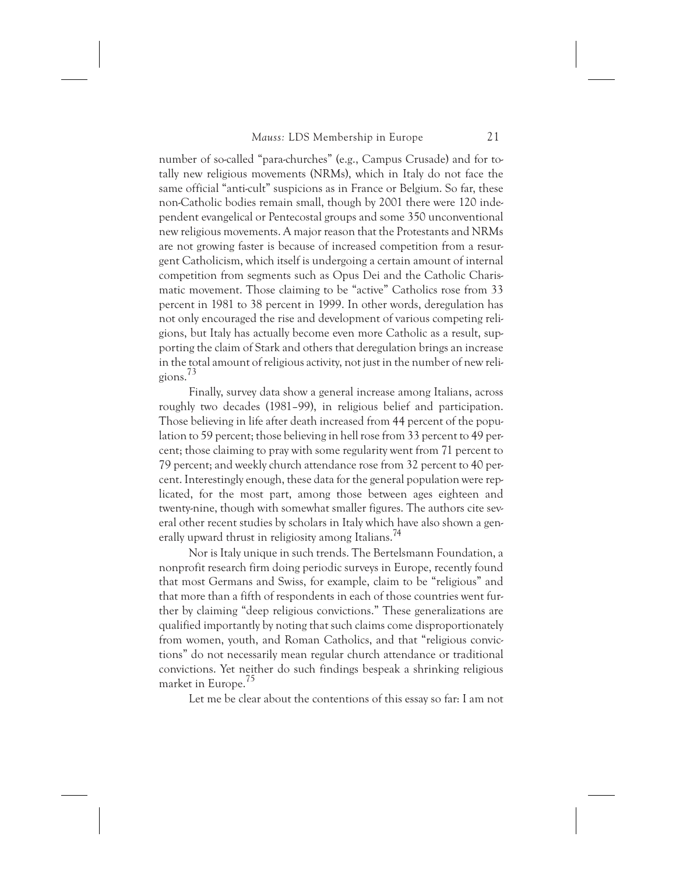number of so-called "para-churches" (e.g., Campus Crusade) and for totally new religious movements (NRMs), which in Italy do not face the same official "anti-cult" suspicions as in France or Belgium. So far, these non-Catholic bodies remain small, though by 2001 there were 120 independent evangelical or Pentecostal groups and some 350 unconventional new religious movements. A major reason that the Protestants and NRMs are not growing faster is because of increased competition from a resurgent Catholicism, which itself is undergoing a certain amount of internal competition from segments such as Opus Dei and the Catholic Charismatic movement. Those claiming to be "active" Catholics rose from 33 percent in 1981 to 38 percent in 1999. In other words, deregulation has not only encouraged the rise and development of various competing religions, but Italy has actually become even more Catholic as a result, supporting the claim of Stark and others that deregulation brings an increase in the total amount of religious activity, not just in the number of new religions.73

Finally, survey data show a general increase among Italians, across roughly two decades (1981–99), in religious belief and participation. Those believing in life after death increased from 44 percent of the population to 59 percent; those believing in hell rose from 33 percent to 49 percent; those claiming to pray with some regularity went from 71 percent to 79 percent; and weekly church attendance rose from 32 percent to 40 percent. Interestingly enough, these data for the general population were replicated, for the most part, among those between ages eighteen and twenty-nine, though with somewhat smaller figures. The authors cite several other recent studies by scholars in Italy which have also shown a generally upward thrust in religiosity among Italians.<sup>74</sup>

Nor is Italy unique in such trends. The Bertelsmann Foundation, a nonprofit research firm doing periodic surveys in Europe, recently found that most Germans and Swiss, for example, claim to be "religious" and that more than a fifth of respondents in each of those countries went further by claiming "deep religious convictions." These generalizations are qualified importantly by noting that such claims come disproportionately from women, youth, and Roman Catholics, and that "religious convictions" do not necessarily mean regular church attendance or traditional convictions. Yet neither do such findings bespeak a shrinking religious market in Europe.<sup>75</sup>

Let me be clear about the contentions of this essay so far: I am not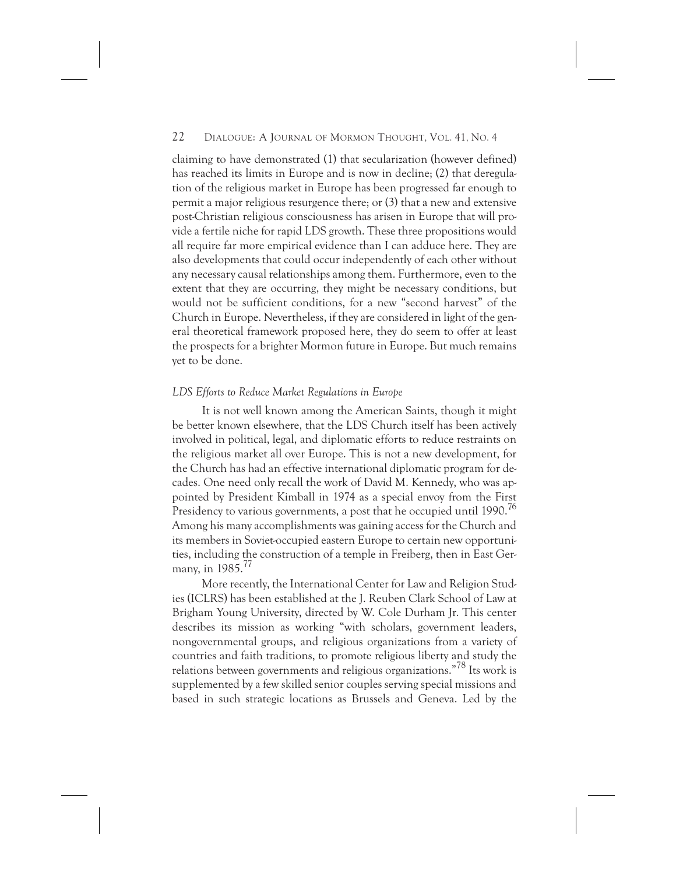claiming to have demonstrated (1) that secularization (however defined) has reached its limits in Europe and is now in decline; (2) that deregulation of the religious market in Europe has been progressed far enough to permit a major religious resurgence there; or (3) that a new and extensive post-Christian religious consciousness has arisen in Europe that will provide a fertile niche for rapid LDS growth. These three propositions would all require far more empirical evidence than I can adduce here. They are also developments that could occur independently of each other without any necessary causal relationships among them. Furthermore, even to the extent that they are occurring, they might be necessary conditions, but would not be sufficient conditions, for a new "second harvest" of the Church in Europe. Nevertheless, if they are considered in light of the general theoretical framework proposed here, they do seem to offer at least the prospects for a brighter Mormon future in Europe. But much remains yet to be done.

## *LDS Efforts to Reduce Market Regulations in Europe*

It is not well known among the American Saints, though it might be better known elsewhere, that the LDS Church itself has been actively involved in political, legal, and diplomatic efforts to reduce restraints on the religious market all over Europe. This is not a new development, for the Church has had an effective international diplomatic program for decades. One need only recall the work of David M. Kennedy, who was appointed by President Kimball in 1974 as a special envoy from the First Presidency to various governments, a post that he occupied until 1990.<sup>76</sup> Among his many accomplishments was gaining access for the Church and its members in Soviet-occupied eastern Europe to certain new opportunities, including the construction of a temple in Freiberg, then in East Germany, in  $1985$ .<sup>77</sup>

More recently, the International Center for Law and Religion Studies (ICLRS) has been established at the J. Reuben Clark School of Law at Brigham Young University, directed by W. Cole Durham Jr. This center describes its mission as working "with scholars, government leaders, nongovernmental groups, and religious organizations from a variety of countries and faith traditions, to promote religious liberty and study the relations between governments and religious organizations."78 Its work is supplemented by a few skilled senior couples serving special missions and based in such strategic locations as Brussels and Geneva. Led by the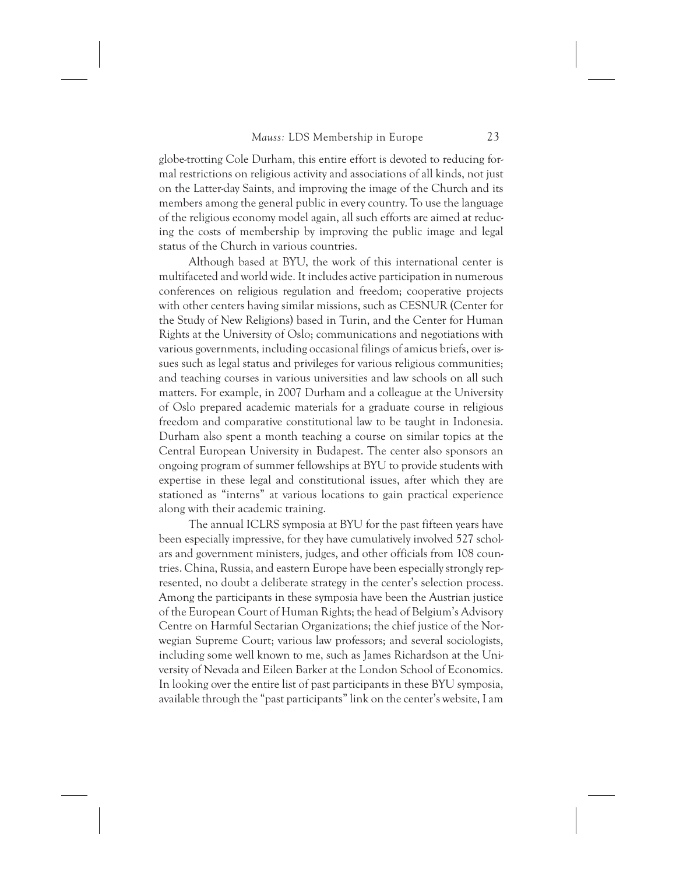globe-trotting Cole Durham, this entire effort is devoted to reducing formal restrictions on religious activity and associations of all kinds, not just on the Latter-day Saints, and improving the image of the Church and its members among the general public in every country. To use the language of the religious economy model again, all such efforts are aimed at reducing the costs of membership by improving the public image and legal status of the Church in various countries.

Although based at BYU, the work of this international center is multifaceted and world wide. It includes active participation in numerous conferences on religious regulation and freedom; cooperative projects with other centers having similar missions, such as CESNUR (Center for the Study of New Religions) based in Turin, and the Center for Human Rights at the University of Oslo; communications and negotiations with various governments, including occasional filings of amicus briefs, over issues such as legal status and privileges for various religious communities; and teaching courses in various universities and law schools on all such matters. For example, in 2007 Durham and a colleague at the University of Oslo prepared academic materials for a graduate course in religious freedom and comparative constitutional law to be taught in Indonesia. Durham also spent a month teaching a course on similar topics at the Central European University in Budapest. The center also sponsors an ongoing program of summer fellowships at BYU to provide students with expertise in these legal and constitutional issues, after which they are stationed as "interns" at various locations to gain practical experience along with their academic training.

The annual ICLRS symposia at BYU for the past fifteen years have been especially impressive, for they have cumulatively involved 527 scholars and government ministers, judges, and other officials from 108 countries. China, Russia, and eastern Europe have been especially strongly represented, no doubt a deliberate strategy in the center's selection process. Among the participants in these symposia have been the Austrian justice of the European Court of Human Rights; the head of Belgium's Advisory Centre on Harmful Sectarian Organizations; the chief justice of the Norwegian Supreme Court; various law professors; and several sociologists, including some well known to me, such as James Richardson at the University of Nevada and Eileen Barker at the London School of Economics. In looking over the entire list of past participants in these BYU symposia, available through the "past participants" link on the center's website, I am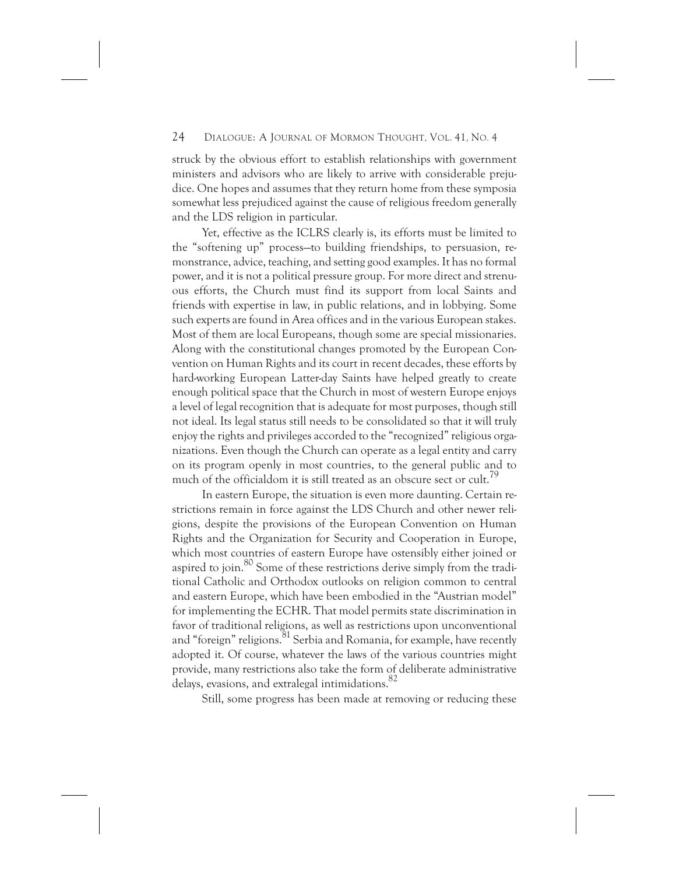struck by the obvious effort to establish relationships with government ministers and advisors who are likely to arrive with considerable prejudice. One hopes and assumes that they return home from these symposia somewhat less prejudiced against the cause of religious freedom generally and the LDS religion in particular.

Yet, effective as the ICLRS clearly is, its efforts must be limited to the "softening up" process—to building friendships, to persuasion, remonstrance, advice, teaching, and setting good examples. It has no formal power, and it is not a political pressure group. For more direct and strenuous efforts, the Church must find its support from local Saints and friends with expertise in law, in public relations, and in lobbying. Some such experts are found in Area offices and in the various European stakes. Most of them are local Europeans, though some are special missionaries. Along with the constitutional changes promoted by the European Convention on Human Rights and its court in recent decades, these efforts by hard-working European Latter-day Saints have helped greatly to create enough political space that the Church in most of western Europe enjoys a level of legal recognition that is adequate for most purposes, though still not ideal. Its legal status still needs to be consolidated so that it will truly enjoy the rights and privileges accorded to the "recognized" religious organizations. Even though the Church can operate as a legal entity and carry on its program openly in most countries, to the general public and to much of the officialdom it is still treated as an obscure sect or cult.<sup>79</sup>

In eastern Europe, the situation is even more daunting. Certain restrictions remain in force against the LDS Church and other newer religions, despite the provisions of the European Convention on Human Rights and the Organization for Security and Cooperation in Europe, which most countries of eastern Europe have ostensibly either joined or aspired to join.<sup>80</sup> Some of these restrictions derive simply from the traditional Catholic and Orthodox outlooks on religion common to central and eastern Europe, which have been embodied in the "Austrian model" for implementing the ECHR. That model permits state discrimination in favor of traditional religions, as well as restrictions upon unconventional and "foreign" religions.  $81$  Serbia and Romania, for example, have recently adopted it. Of course, whatever the laws of the various countries might provide, many restrictions also take the form of deliberate administrative delays, evasions, and extralegal intimidations.<sup>82</sup>

Still, some progress has been made at removing or reducing these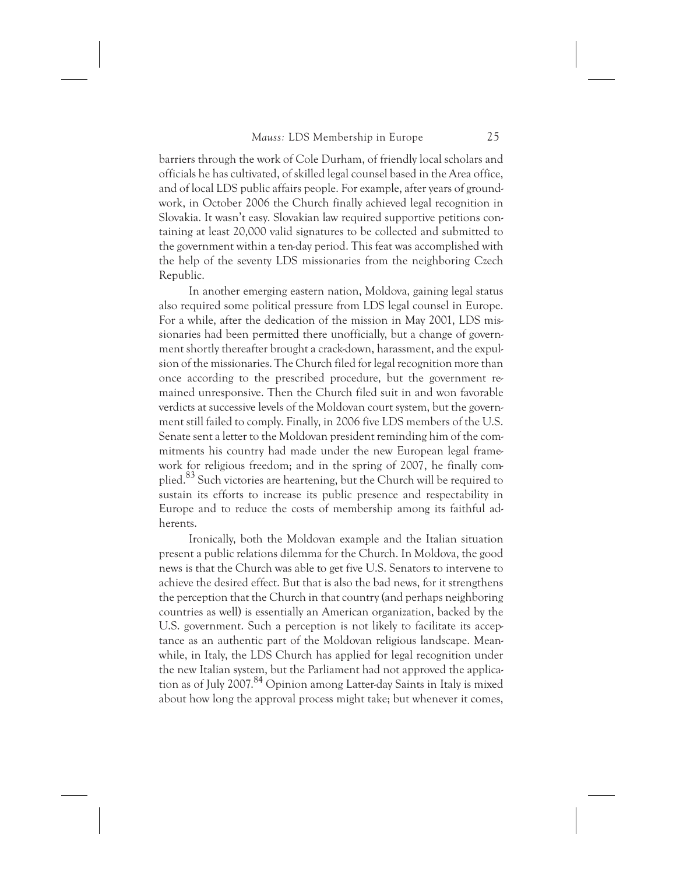barriers through the work of Cole Durham, of friendly local scholars and officials he has cultivated, of skilled legal counsel based in the Area office, and of local LDS public affairs people. For example, after years of groundwork, in October 2006 the Church finally achieved legal recognition in Slovakia. It wasn't easy. Slovakian law required supportive petitions containing at least 20,000 valid signatures to be collected and submitted to the government within a ten-day period. This feat was accomplished with the help of the seventy LDS missionaries from the neighboring Czech Republic.

In another emerging eastern nation, Moldova, gaining legal status also required some political pressure from LDS legal counsel in Europe. For a while, after the dedication of the mission in May 2001, LDS missionaries had been permitted there unofficially, but a change of government shortly thereafter brought a crack-down, harassment, and the expulsion of the missionaries. The Church filed for legal recognition more than once according to the prescribed procedure, but the government remained unresponsive. Then the Church filed suit in and won favorable verdicts at successive levels of the Moldovan court system, but the government still failed to comply. Finally, in 2006 five LDS members of the U.S. Senate sent a letter to the Moldovan president reminding him of the commitments his country had made under the new European legal framework for religious freedom; and in the spring of 2007, he finally complied.<sup>83</sup> Such victories are heartening, but the Church will be required to sustain its efforts to increase its public presence and respectability in Europe and to reduce the costs of membership among its faithful adherents.

Ironically, both the Moldovan example and the Italian situation present a public relations dilemma for the Church. In Moldova, the good news is that the Church was able to get five U.S. Senators to intervene to achieve the desired effect. But that is also the bad news, for it strengthens the perception that the Church in that country (and perhaps neighboring countries as well) is essentially an American organization, backed by the U.S. government. Such a perception is not likely to facilitate its acceptance as an authentic part of the Moldovan religious landscape. Meanwhile, in Italy, the LDS Church has applied for legal recognition under the new Italian system, but the Parliament had not approved the application as of July 2007.<sup>84</sup> Opinion among Latter-day Saints in Italy is mixed about how long the approval process might take; but whenever it comes,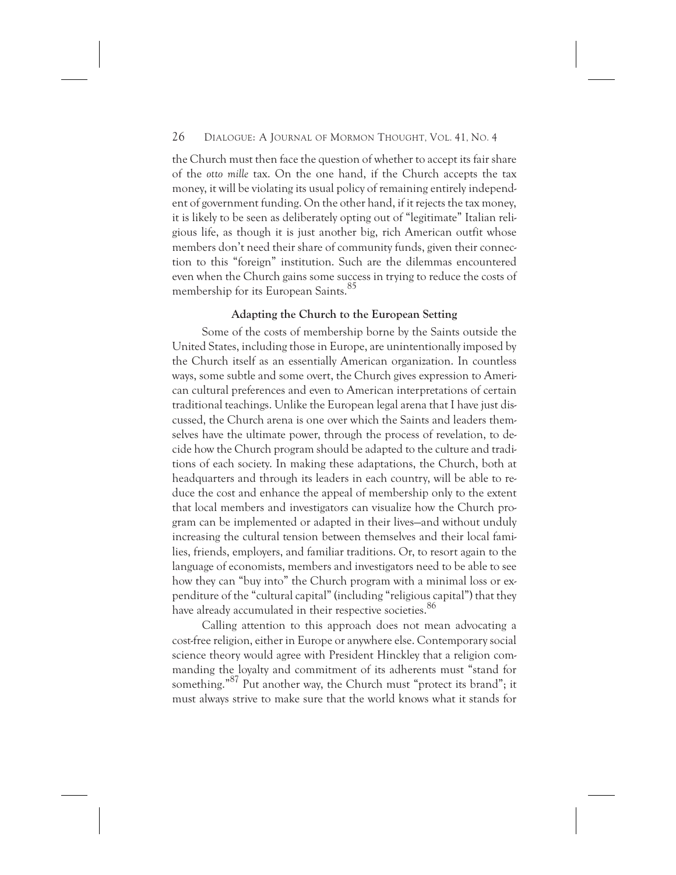the Church must then face the question of whether to accept its fair share of the *otto mille* tax. On the one hand, if the Church accepts the tax money, it will be violating its usual policy of remaining entirely independent of government funding. On the other hand, if it rejects the tax money, it is likely to be seen as deliberately opting out of "legitimate" Italian religious life, as though it is just another big, rich American outfit whose members don't need their share of community funds, given their connection to this "foreign" institution. Such are the dilemmas encountered even when the Church gains some success in trying to reduce the costs of membership for its European Saints.85

## **Adapting the Church to the European Setting**

Some of the costs of membership borne by the Saints outside the United States, including those in Europe, are unintentionally imposed by the Church itself as an essentially American organization. In countless ways, some subtle and some overt, the Church gives expression to American cultural preferences and even to American interpretations of certain traditional teachings. Unlike the European legal arena that I have just discussed, the Church arena is one over which the Saints and leaders themselves have the ultimate power, through the process of revelation, to decide how the Church program should be adapted to the culture and traditions of each society. In making these adaptations, the Church, both at headquarters and through its leaders in each country, will be able to reduce the cost and enhance the appeal of membership only to the extent that local members and investigators can visualize how the Church program can be implemented or adapted in their lives—and without unduly increasing the cultural tension between themselves and their local families, friends, employers, and familiar traditions. Or, to resort again to the language of economists, members and investigators need to be able to see how they can "buy into" the Church program with a minimal loss or expenditure of the "cultural capital" (including "religious capital") that they have already accumulated in their respective societies.<sup>86</sup>

Calling attention to this approach does not mean advocating a cost-free religion, either in Europe or anywhere else. Contemporary social science theory would agree with President Hinckley that a religion commanding the loyalty and commitment of its adherents must "stand for something."<sup>87</sup> Put another way, the Church must "protect its brand"; it must always strive to make sure that the world knows what it stands for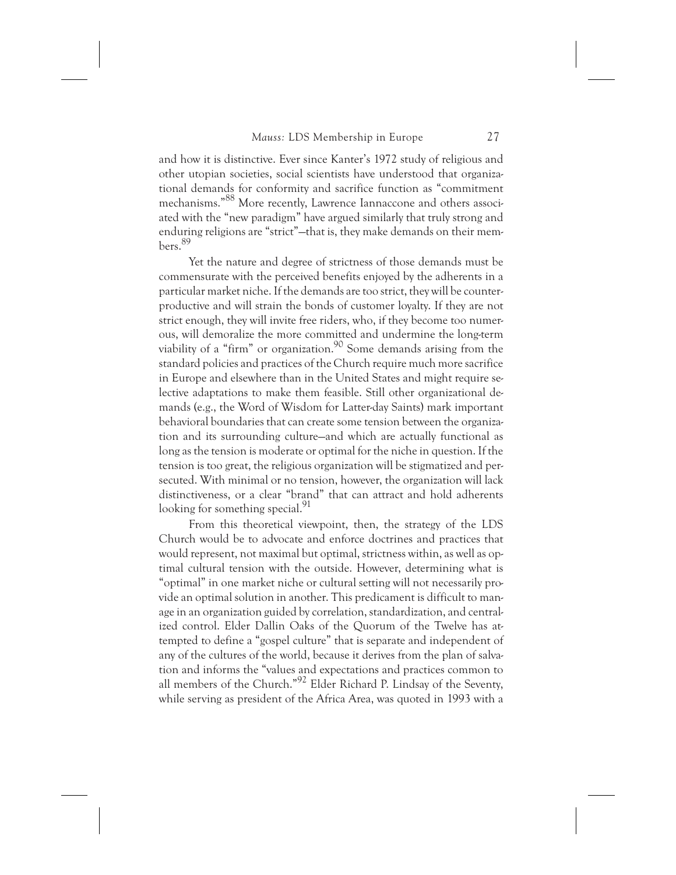and how it is distinctive. Ever since Kanter's 1972 study of religious and other utopian societies, social scientists have understood that organizational demands for conformity and sacrifice function as "commitment mechanisms."88 More recently, Lawrence Iannaccone and others associated with the "new paradigm" have argued similarly that truly strong and enduring religions are "strict"—that is, they make demands on their members.<sup>89</sup>

Yet the nature and degree of strictness of those demands must be commensurate with the perceived benefits enjoyed by the adherents in a particular market niche. If the demands are too strict, they will be counterproductive and will strain the bonds of customer loyalty. If they are not strict enough, they will invite free riders, who, if they become too numerous, will demoralize the more committed and undermine the long-term viability of a "firm" or organization.<sup>90</sup> Some demands arising from the standard policies and practices of the Church require much more sacrifice in Europe and elsewhere than in the United States and might require selective adaptations to make them feasible. Still other organizational demands (e.g., the Word of Wisdom for Latter-day Saints) mark important behavioral boundaries that can create some tension between the organization and its surrounding culture—and which are actually functional as long as the tension is moderate or optimal for the niche in question. If the tension is too great, the religious organization will be stigmatized and persecuted. With minimal or no tension, however, the organization will lack distinctiveness, or a clear "brand" that can attract and hold adherents looking for something special.<sup>91</sup>

From this theoretical viewpoint, then, the strategy of the LDS Church would be to advocate and enforce doctrines and practices that would represent, not maximal but optimal, strictness within, as well as optimal cultural tension with the outside. However, determining what is "optimal" in one market niche or cultural setting will not necessarily provide an optimal solution in another. This predicament is difficult to manage in an organization guided by correlation, standardization, and centralized control. Elder Dallin Oaks of the Quorum of the Twelve has attempted to define a "gospel culture" that is separate and independent of any of the cultures of the world, because it derives from the plan of salvation and informs the "values and expectations and practices common to all members of the Church."92 Elder Richard P. Lindsay of the Seventy, while serving as president of the Africa Area, was quoted in 1993 with a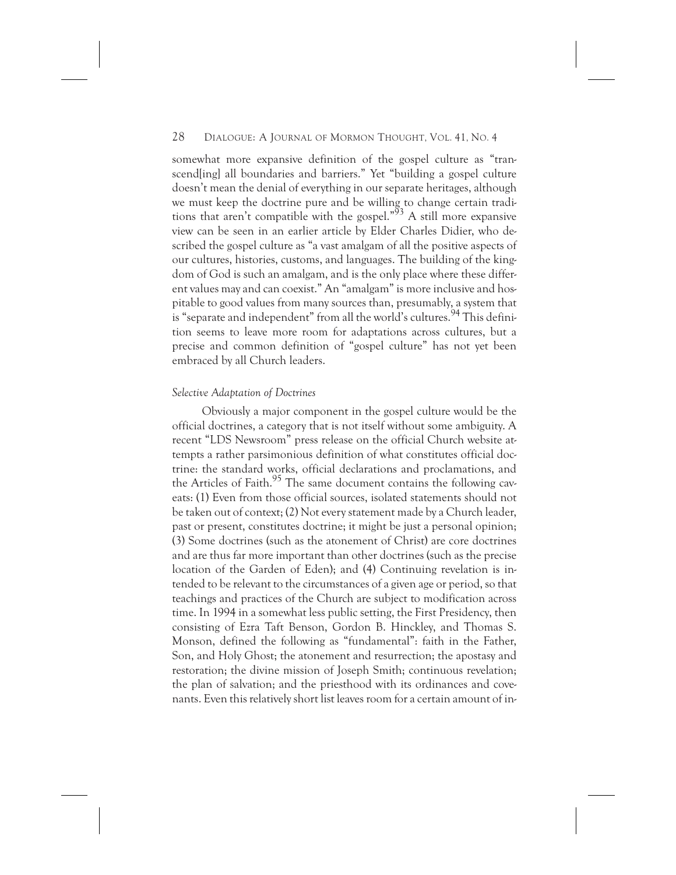somewhat more expansive definition of the gospel culture as "transcend[ing] all boundaries and barriers." Yet "building a gospel culture doesn't mean the denial of everything in our separate heritages, although we must keep the doctrine pure and be willing to change certain traditions that aren't compatible with the gospel."<sup>93</sup> A still more expansive view can be seen in an earlier article by Elder Charles Didier, who described the gospel culture as "a vast amalgam of all the positive aspects of our cultures, histories, customs, and languages. The building of the kingdom of God is such an amalgam, and is the only place where these different values may and can coexist." An "amalgam" is more inclusive and hospitable to good values from many sources than, presumably, a system that is "separate and independent" from all the world's cultures.<sup>94</sup> This definition seems to leave more room for adaptations across cultures, but a precise and common definition of "gospel culture" has not yet been embraced by all Church leaders.

## *Selective Adaptation of Doctrines*

Obviously a major component in the gospel culture would be the official doctrines, a category that is not itself without some ambiguity. A recent "LDS Newsroom" press release on the official Church website attempts a rather parsimonious definition of what constitutes official doctrine: the standard works, official declarations and proclamations, and the Articles of Faith. $95$  The same document contains the following caveats: (1) Even from those official sources, isolated statements should not be taken out of context; (2) Not every statement made by a Church leader, past or present, constitutes doctrine; it might be just a personal opinion; (3) Some doctrines (such as the atonement of Christ) are core doctrines and are thus far more important than other doctrines (such as the precise location of the Garden of Eden); and (4) Continuing revelation is intended to be relevant to the circumstances of a given age or period, so that teachings and practices of the Church are subject to modification across time. In 1994 in a somewhat less public setting, the First Presidency, then consisting of Ezra Taft Benson, Gordon B. Hinckley, and Thomas S. Monson, defined the following as "fundamental": faith in the Father, Son, and Holy Ghost; the atonement and resurrection; the apostasy and restoration; the divine mission of Joseph Smith; continuous revelation; the plan of salvation; and the priesthood with its ordinances and covenants. Even this relatively short list leaves room for a certain amount of in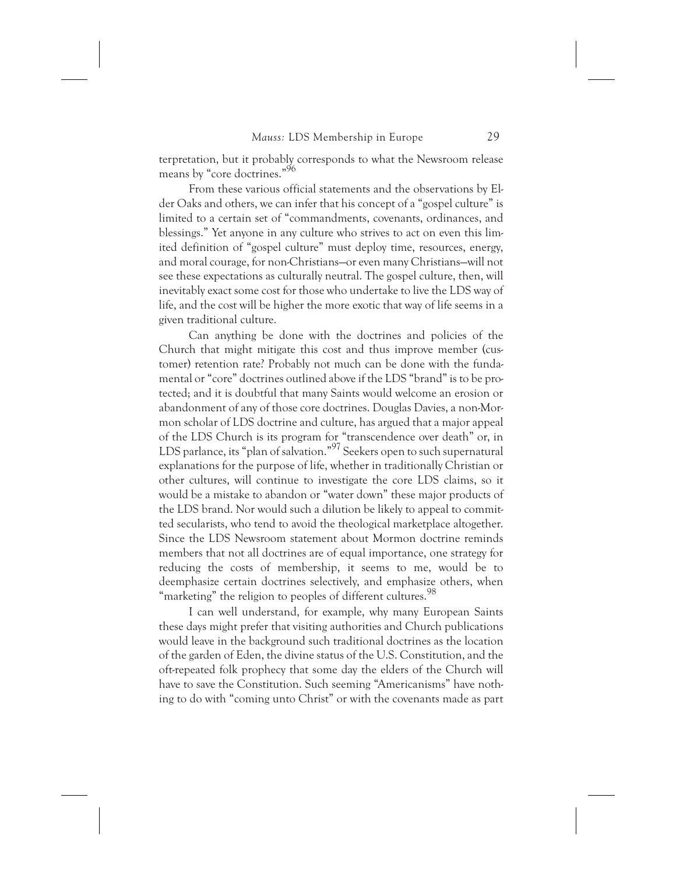terpretation, but it probably corresponds to what the Newsroom release means by "core doctrines."<sup>96</sup>

From these various official statements and the observations by Elder Oaks and others, we can infer that his concept of a "gospel culture" is limited to a certain set of "commandments, covenants, ordinances, and blessings." Yet anyone in any culture who strives to act on even this limited definition of "gospel culture" must deploy time, resources, energy, and moral courage, for non-Christians—or even many Christians—will not see these expectations as culturally neutral. The gospel culture, then, will inevitably exact some cost for those who undertake to live the LDS way of life, and the cost will be higher the more exotic that way of life seems in a given traditional culture.

Can anything be done with the doctrines and policies of the Church that might mitigate this cost and thus improve member (customer) retention rate? Probably not much can be done with the fundamental or "core" doctrines outlined above if the LDS "brand" is to be protected; and it is doubtful that many Saints would welcome an erosion or abandonment of any of those core doctrines. Douglas Davies, a non-Mormon scholar of LDS doctrine and culture, has argued that a major appeal of the LDS Church is its program for "transcendence over death" or, in LDS parlance, its "plan of salvation."<sup>97</sup> Seekers open to such supernatural explanations for the purpose of life, whether in traditionally Christian or other cultures, will continue to investigate the core LDS claims, so it would be a mistake to abandon or "water down" these major products of the LDS brand. Nor would such a dilution be likely to appeal to committed secularists, who tend to avoid the theological marketplace altogether. Since the LDS Newsroom statement about Mormon doctrine reminds members that not all doctrines are of equal importance, one strategy for reducing the costs of membership, it seems to me, would be to deemphasize certain doctrines selectively, and emphasize others, when "marketing" the religion to peoples of different cultures.<sup>98</sup>

I can well understand, for example, why many European Saints these days might prefer that visiting authorities and Church publications would leave in the background such traditional doctrines as the location of the garden of Eden, the divine status of the U.S. Constitution, and the oft-repeated folk prophecy that some day the elders of the Church will have to save the Constitution. Such seeming "Americanisms" have nothing to do with "coming unto Christ" or with the covenants made as part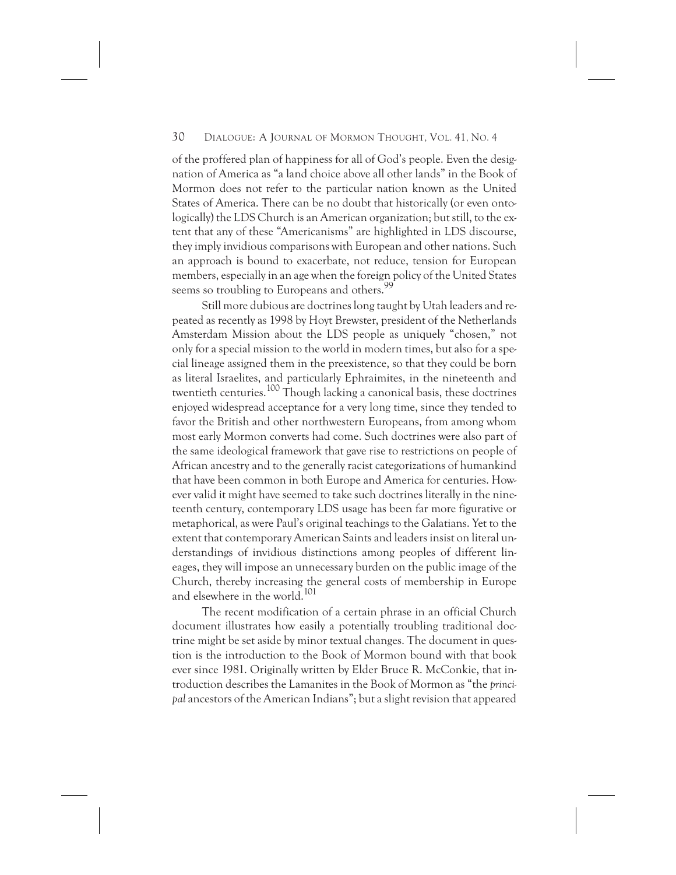of the proffered plan of happiness for all of God's people. Even the designation of America as "a land choice above all other lands" in the Book of Mormon does not refer to the particular nation known as the United States of America. There can be no doubt that historically (or even ontologically) the LDS Church is an American organization; but still, to the extent that any of these "Americanisms" are highlighted in LDS discourse, they imply invidious comparisons with European and other nations. Such an approach is bound to exacerbate, not reduce, tension for European members, especially in an age when the foreign policy of the United States seems so troubling to Europeans and others.<sup>99</sup>

Still more dubious are doctrines long taught by Utah leaders and repeated as recently as 1998 by Hoyt Brewster, president of the Netherlands Amsterdam Mission about the LDS people as uniquely "chosen," not only for a special mission to the world in modern times, but also for a special lineage assigned them in the preexistence, so that they could be born as literal Israelites, and particularly Ephraimites, in the nineteenth and twentieth centuries.<sup>100</sup> Though lacking a canonical basis, these doctrines enjoyed widespread acceptance for a very long time, since they tended to favor the British and other northwestern Europeans, from among whom most early Mormon converts had come. Such doctrines were also part of the same ideological framework that gave rise to restrictions on people of African ancestry and to the generally racist categorizations of humankind that have been common in both Europe and America for centuries. However valid it might have seemed to take such doctrines literally in the nineteenth century, contemporary LDS usage has been far more figurative or metaphorical, as were Paul's original teachings to the Galatians. Yet to the extent that contemporary American Saints and leaders insist on literal understandings of invidious distinctions among peoples of different lineages, they will impose an unnecessary burden on the public image of the Church, thereby increasing the general costs of membership in Europe and elsewhere in the world.<sup>101</sup>

The recent modification of a certain phrase in an official Church document illustrates how easily a potentially troubling traditional doctrine might be set aside by minor textual changes. The document in question is the introduction to the Book of Mormon bound with that book ever since 1981. Originally written by Elder Bruce R. McConkie, that introduction describes the Lamanites in the Book of Mormon as "the *principal* ancestors of the American Indians"; but a slight revision that appeared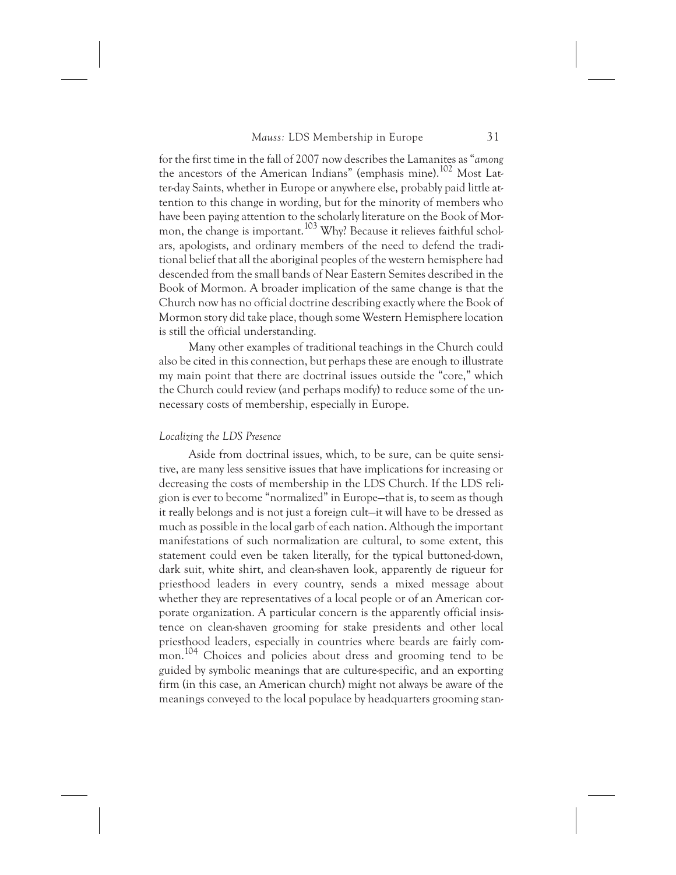for the first time in the fall of 2007 now describes the Lamanites as "*among* the ancestors of the American Indians" (emphasis mine).<sup>102</sup> Most Latter-day Saints, whether in Europe or anywhere else, probably paid little attention to this change in wording, but for the minority of members who have been paying attention to the scholarly literature on the Book of Mormon, the change is important.<sup>103</sup> Why? Because it relieves faithful scholars, apologists, and ordinary members of the need to defend the traditional belief that all the aboriginal peoples of the western hemisphere had descended from the small bands of Near Eastern Semites described in the Book of Mormon. A broader implication of the same change is that the Church now has no official doctrine describing exactly where the Book of Mormon story did take place, though some Western Hemisphere location is still the official understanding.

Many other examples of traditional teachings in the Church could also be cited in this connection, but perhaps these are enough to illustrate my main point that there are doctrinal issues outside the "core," which the Church could review (and perhaps modify) to reduce some of the unnecessary costs of membership, especially in Europe.

## *Localizing the LDS Presence*

Aside from doctrinal issues, which, to be sure, can be quite sensitive, are many less sensitive issues that have implications for increasing or decreasing the costs of membership in the LDS Church. If the LDS religion is ever to become "normalized" in Europe—that is, to seem as though it really belongs and is not just a foreign cult—it will have to be dressed as much as possible in the local garb of each nation. Although the important manifestations of such normalization are cultural, to some extent, this statement could even be taken literally, for the typical buttoned-down, dark suit, white shirt, and clean-shaven look, apparently de rigueur for priesthood leaders in every country, sends a mixed message about whether they are representatives of a local people or of an American corporate organization. A particular concern is the apparently official insistence on clean-shaven grooming for stake presidents and other local priesthood leaders, especially in countries where beards are fairly common.<sup>104</sup> Choices and policies about dress and grooming tend to be guided by symbolic meanings that are culture-specific, and an exporting firm (in this case, an American church) might not always be aware of the meanings conveyed to the local populace by headquarters grooming stan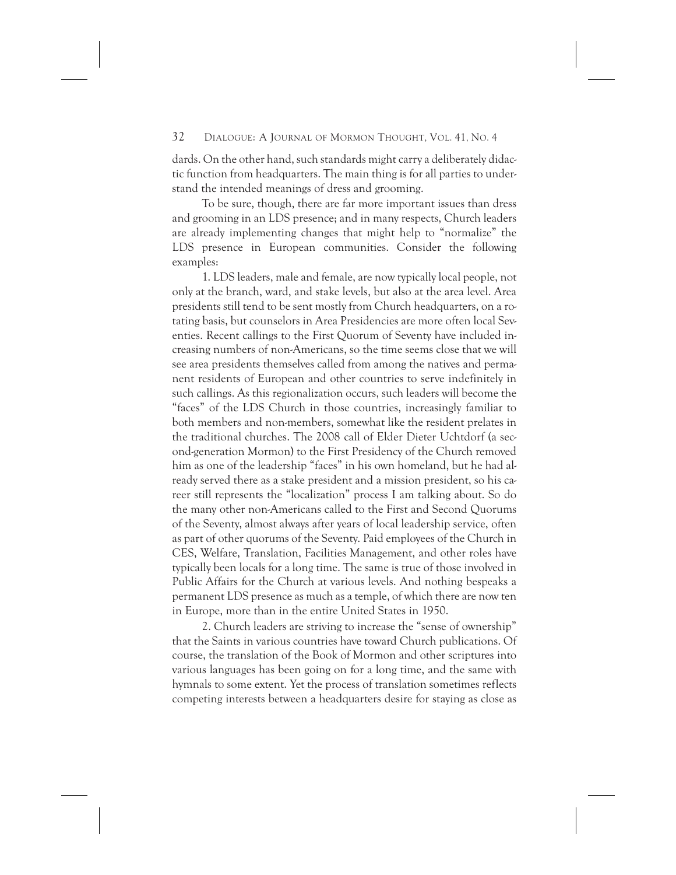dards. On the other hand, such standards might carry a deliberately didactic function from headquarters. The main thing is for all parties to understand the intended meanings of dress and grooming.

To be sure, though, there are far more important issues than dress and grooming in an LDS presence; and in many respects, Church leaders are already implementing changes that might help to "normalize" the LDS presence in European communities. Consider the following examples:

1. LDS leaders, male and female, are now typically local people, not only at the branch, ward, and stake levels, but also at the area level. Area presidents still tend to be sent mostly from Church headquarters, on a rotating basis, but counselors in Area Presidencies are more often local Seventies. Recent callings to the First Quorum of Seventy have included increasing numbers of non-Americans, so the time seems close that we will see area presidents themselves called from among the natives and permanent residents of European and other countries to serve indefinitely in such callings. As this regionalization occurs, such leaders will become the "faces" of the LDS Church in those countries, increasingly familiar to both members and non-members, somewhat like the resident prelates in the traditional churches. The 2008 call of Elder Dieter Uchtdorf (a second-generation Mormon) to the First Presidency of the Church removed him as one of the leadership "faces" in his own homeland, but he had already served there as a stake president and a mission president, so his career still represents the "localization" process I am talking about. So do the many other non-Americans called to the First and Second Quorums of the Seventy, almost always after years of local leadership service, often as part of other quorums of the Seventy. Paid employees of the Church in CES, Welfare, Translation, Facilities Management, and other roles have typically been locals for a long time. The same is true of those involved in Public Affairs for the Church at various levels. And nothing bespeaks a permanent LDS presence as much as a temple, of which there are now ten in Europe, more than in the entire United States in 1950.

2. Church leaders are striving to increase the "sense of ownership" that the Saints in various countries have toward Church publications. Of course, the translation of the Book of Mormon and other scriptures into various languages has been going on for a long time, and the same with hymnals to some extent. Yet the process of translation sometimes reflects competing interests between a headquarters desire for staying as close as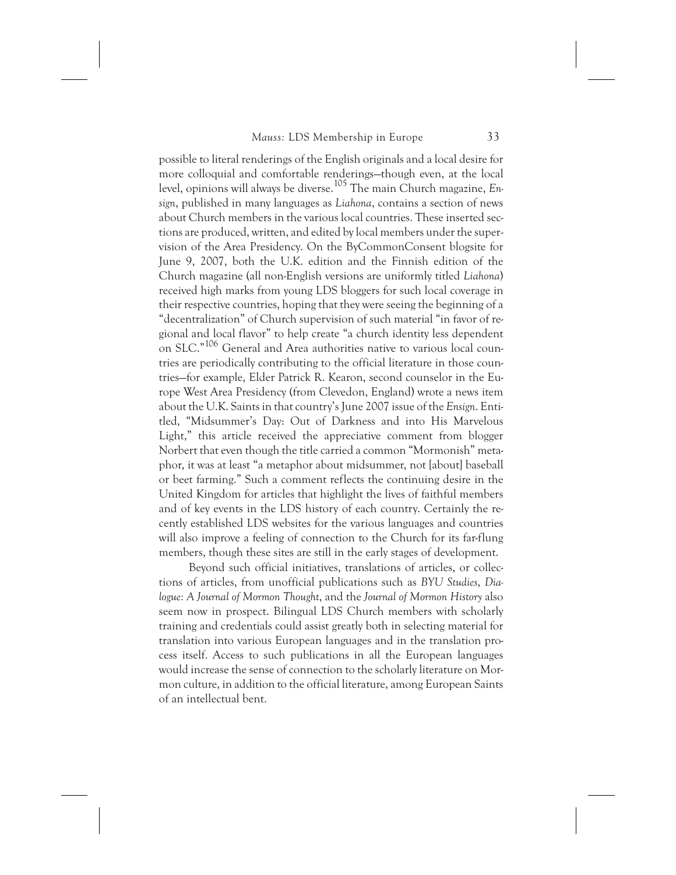possible to literal renderings of the English originals and a local desire for more colloquial and comfortable renderings—though even, at the local level, opinions will always be diverse.105 The main Church magazine, *Ensign*, published in many languages as *Liahona*, contains a section of news about Church members in the various local countries. These inserted sections are produced, written, and edited by local members under the supervision of the Area Presidency. On the ByCommonConsent blogsite for June 9, 2007, both the U.K. edition and the Finnish edition of the Church magazine (all non-English versions are uniformly titled *Liahona*) received high marks from young LDS bloggers for such local coverage in their respective countries, hoping that they were seeing the beginning of a "decentralization" of Church supervision of such material "in favor of regional and local flavor" to help create "a church identity less dependent on SLC."<sup>106</sup> General and Area authorities native to various local countries are periodically contributing to the official literature in those countries—for example, Elder Patrick R. Kearon, second counselor in the Europe West Area Presidency (from Clevedon, England) wrote a news item about the U.K. Saints in that country's June 2007 issue of the *Ensign*. Entitled, "Midsummer's Day: Out of Darkness and into His Marvelous Light," this article received the appreciative comment from blogger Norbert that even though the title carried a common "Mormonish" metaphor, it was at least "a metaphor about midsummer, not [about] baseball or beet farming." Such a comment reflects the continuing desire in the United Kingdom for articles that highlight the lives of faithful members and of key events in the LDS history of each country. Certainly the recently established LDS websites for the various languages and countries will also improve a feeling of connection to the Church for its far-flung members, though these sites are still in the early stages of development.

Beyond such official initiatives, translations of articles, or collections of articles, from unofficial publications such as *BYU Studies*, *Dialogue: A Journal of Mormon Thought*, and the *Journal of Mormon History* also seem now in prospect. Bilingual LDS Church members with scholarly training and credentials could assist greatly both in selecting material for translation into various European languages and in the translation process itself. Access to such publications in all the European languages would increase the sense of connection to the scholarly literature on Mormon culture, in addition to the official literature, among European Saints of an intellectual bent.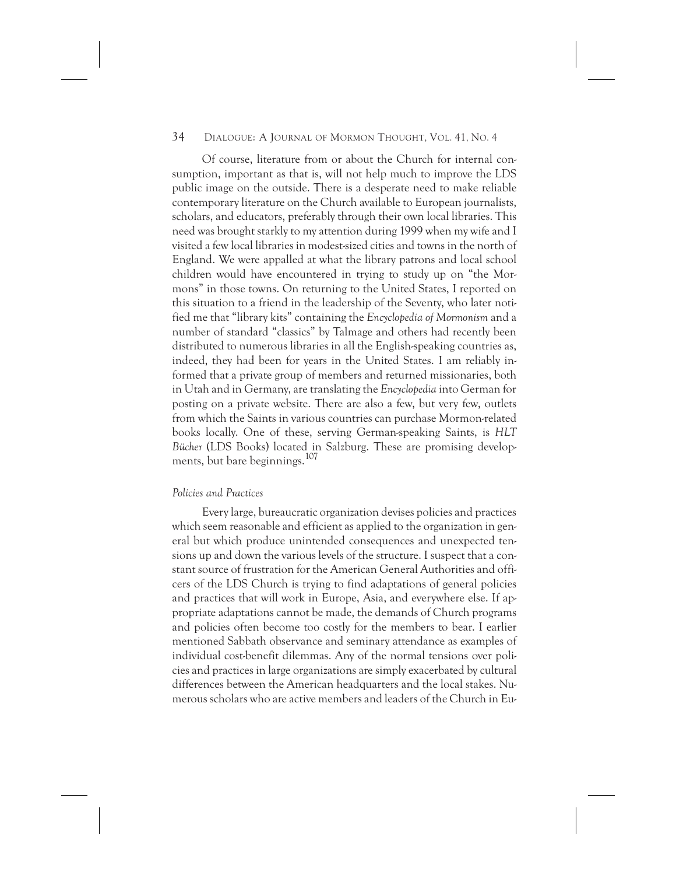Of course, literature from or about the Church for internal consumption, important as that is, will not help much to improve the LDS public image on the outside. There is a desperate need to make reliable contemporary literature on the Church available to European journalists, scholars, and educators, preferably through their own local libraries. This need was brought starkly to my attention during 1999 when my wife and I visited a few local libraries in modest-sized cities and towns in the north of England. We were appalled at what the library patrons and local school children would have encountered in trying to study up on "the Mormons" in those towns. On returning to the United States, I reported on this situation to a friend in the leadership of the Seventy, who later notified me that "library kits" containing the *Encyclopedia of Mormonism* and a number of standard "classics" by Talmage and others had recently been distributed to numerous libraries in all the English-speaking countries as, indeed, they had been for years in the United States. I am reliably informed that a private group of members and returned missionaries, both in Utah and in Germany, are translating the *Encyclopedia* into German for posting on a private website. There are also a few, but very few, outlets from which the Saints in various countries can purchase Mormon-related books locally. One of these, serving German-speaking Saints, is *HLT Bücher* (LDS Books) located in Salzburg. These are promising developments, but bare beginnings.<sup>107</sup>

## *Policies and Practices*

Every large, bureaucratic organization devises policies and practices which seem reasonable and efficient as applied to the organization in general but which produce unintended consequences and unexpected tensions up and down the various levels of the structure. I suspect that a constant source of frustration for the American General Authorities and officers of the LDS Church is trying to find adaptations of general policies and practices that will work in Europe, Asia, and everywhere else. If appropriate adaptations cannot be made, the demands of Church programs and policies often become too costly for the members to bear. I earlier mentioned Sabbath observance and seminary attendance as examples of individual cost-benefit dilemmas. Any of the normal tensions over policies and practices in large organizations are simply exacerbated by cultural differences between the American headquarters and the local stakes. Numerous scholars who are active members and leaders of the Church in Eu-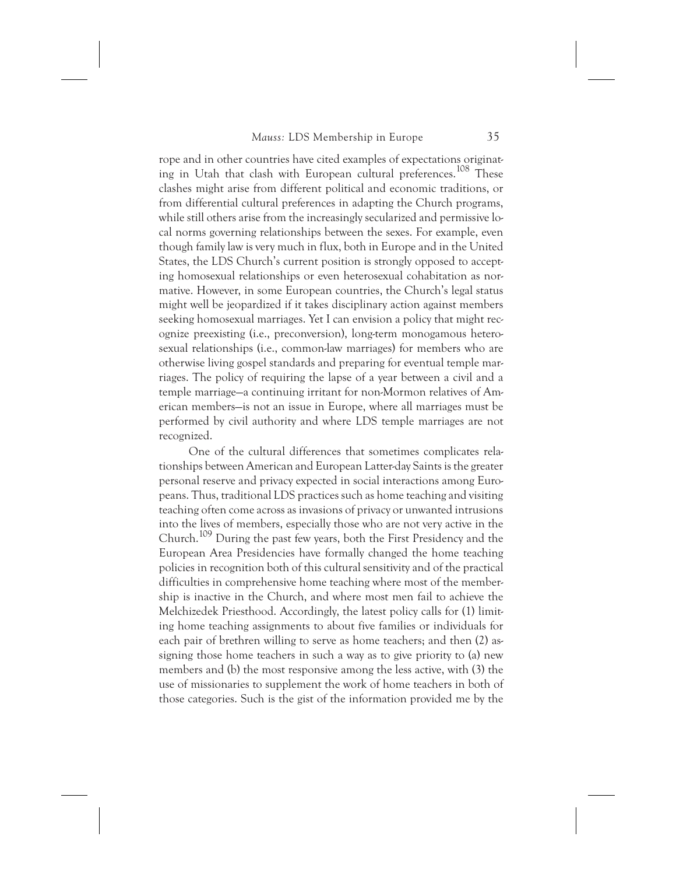rope and in other countries have cited examples of expectations originating in Utah that clash with European cultural preferences.<sup>108</sup> These clashes might arise from different political and economic traditions, or from differential cultural preferences in adapting the Church programs, while still others arise from the increasingly secularized and permissive local norms governing relationships between the sexes. For example, even though family law is very much in flux, both in Europe and in the United States, the LDS Church's current position is strongly opposed to accepting homosexual relationships or even heterosexual cohabitation as normative. However, in some European countries, the Church's legal status might well be jeopardized if it takes disciplinary action against members seeking homosexual marriages. Yet I can envision a policy that might recognize preexisting (i.e., preconversion), long-term monogamous heterosexual relationships (i.e., common-law marriages) for members who are otherwise living gospel standards and preparing for eventual temple marriages. The policy of requiring the lapse of a year between a civil and a temple marriage—a continuing irritant for non-Mormon relatives of American members—is not an issue in Europe, where all marriages must be performed by civil authority and where LDS temple marriages are not recognized.

One of the cultural differences that sometimes complicates relationships between American and European Latter-day Saints is the greater personal reserve and privacy expected in social interactions among Europeans. Thus, traditional LDS practices such as home teaching and visiting teaching often come across as invasions of privacy or unwanted intrusions into the lives of members, especially those who are not very active in the Church.109 During the past few years, both the First Presidency and the European Area Presidencies have formally changed the home teaching policies in recognition both of this cultural sensitivity and of the practical difficulties in comprehensive home teaching where most of the membership is inactive in the Church, and where most men fail to achieve the Melchizedek Priesthood. Accordingly, the latest policy calls for (1) limiting home teaching assignments to about five families or individuals for each pair of brethren willing to serve as home teachers; and then (2) assigning those home teachers in such a way as to give priority to (a) new members and (b) the most responsive among the less active, with (3) the use of missionaries to supplement the work of home teachers in both of those categories. Such is the gist of the information provided me by the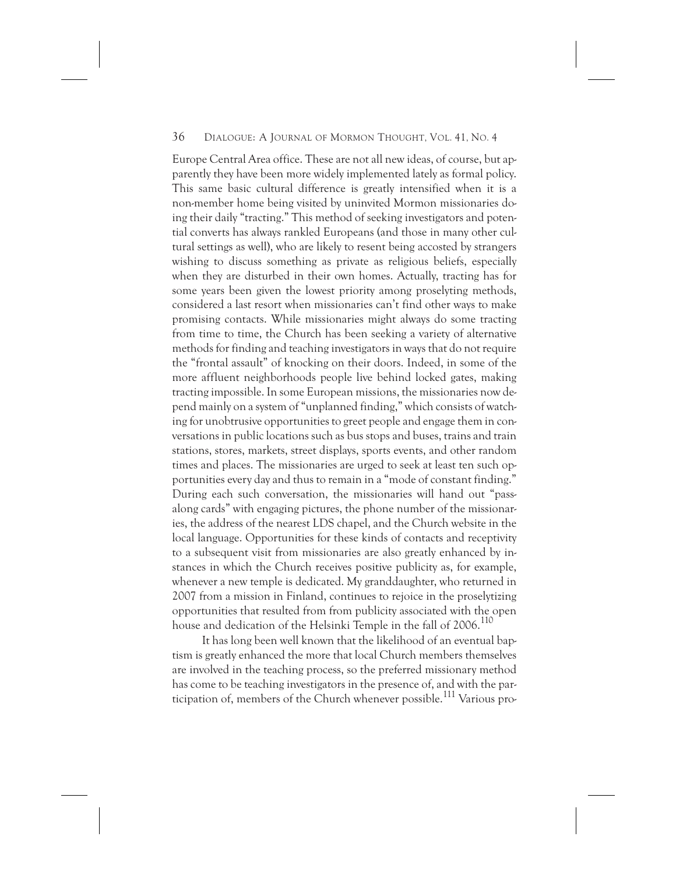Europe Central Area office. These are not all new ideas, of course, but apparently they have been more widely implemented lately as formal policy. This same basic cultural difference is greatly intensified when it is a non-member home being visited by uninvited Mormon missionaries doing their daily "tracting." This method of seeking investigators and potential converts has always rankled Europeans (and those in many other cultural settings as well), who are likely to resent being accosted by strangers wishing to discuss something as private as religious beliefs, especially when they are disturbed in their own homes. Actually, tracting has for some years been given the lowest priority among proselyting methods, considered a last resort when missionaries can't find other ways to make promising contacts. While missionaries might always do some tracting from time to time, the Church has been seeking a variety of alternative methods for finding and teaching investigators in ways that do not require the "frontal assault" of knocking on their doors. Indeed, in some of the more affluent neighborhoods people live behind locked gates, making tracting impossible. In some European missions, the missionaries now depend mainly on a system of "unplanned finding," which consists of watching for unobtrusive opportunities to greet people and engage them in conversations in public locations such as bus stops and buses, trains and train stations, stores, markets, street displays, sports events, and other random times and places. The missionaries are urged to seek at least ten such opportunities every day and thus to remain in a "mode of constant finding." During each such conversation, the missionaries will hand out "passalong cards" with engaging pictures, the phone number of the missionaries, the address of the nearest LDS chapel, and the Church website in the local language. Opportunities for these kinds of contacts and receptivity to a subsequent visit from missionaries are also greatly enhanced by instances in which the Church receives positive publicity as, for example, whenever a new temple is dedicated. My granddaughter, who returned in 2007 from a mission in Finland, continues to rejoice in the proselytizing opportunities that resulted from from publicity associated with the open house and dedication of the Helsinki Temple in the fall of 2006.<sup>110</sup>

It has long been well known that the likelihood of an eventual baptism is greatly enhanced the more that local Church members themselves are involved in the teaching process, so the preferred missionary method has come to be teaching investigators in the presence of, and with the participation of, members of the Church whenever possible.111 Various pro-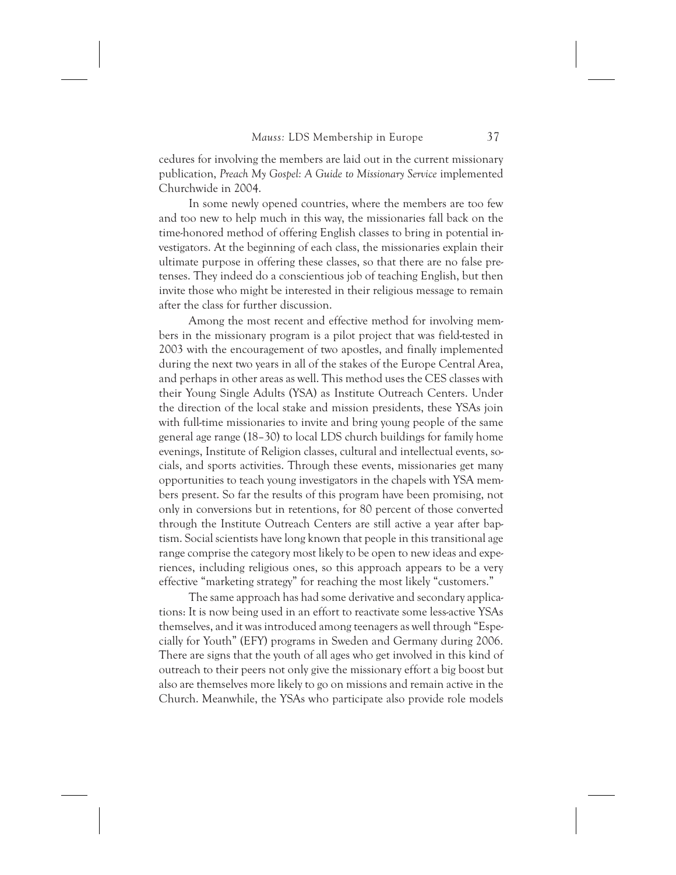cedures for involving the members are laid out in the current missionary publication, *Preach My Gospel: A Guide to Missionary Service* implemented Churchwide in 2004.

In some newly opened countries, where the members are too few and too new to help much in this way, the missionaries fall back on the time-honored method of offering English classes to bring in potential investigators. At the beginning of each class, the missionaries explain their ultimate purpose in offering these classes, so that there are no false pretenses. They indeed do a conscientious job of teaching English, but then invite those who might be interested in their religious message to remain after the class for further discussion.

Among the most recent and effective method for involving members in the missionary program is a pilot project that was field-tested in 2003 with the encouragement of two apostles, and finally implemented during the next two years in all of the stakes of the Europe Central Area, and perhaps in other areas as well. This method uses the CES classes with their Young Single Adults (YSA) as Institute Outreach Centers. Under the direction of the local stake and mission presidents, these YSAs join with full-time missionaries to invite and bring young people of the same general age range (18–30) to local LDS church buildings for family home evenings, Institute of Religion classes, cultural and intellectual events, socials, and sports activities. Through these events, missionaries get many opportunities to teach young investigators in the chapels with YSA members present. So far the results of this program have been promising, not only in conversions but in retentions, for 80 percent of those converted through the Institute Outreach Centers are still active a year after baptism. Social scientists have long known that people in this transitional age range comprise the category most likely to be open to new ideas and experiences, including religious ones, so this approach appears to be a very effective "marketing strategy" for reaching the most likely "customers."

The same approach has had some derivative and secondary applications: It is now being used in an effort to reactivate some less-active YSAs themselves, and it was introduced among teenagers as well through "Especially for Youth" (EFY) programs in Sweden and Germany during 2006. There are signs that the youth of all ages who get involved in this kind of outreach to their peers not only give the missionary effort a big boost but also are themselves more likely to go on missions and remain active in the Church. Meanwhile, the YSAs who participate also provide role models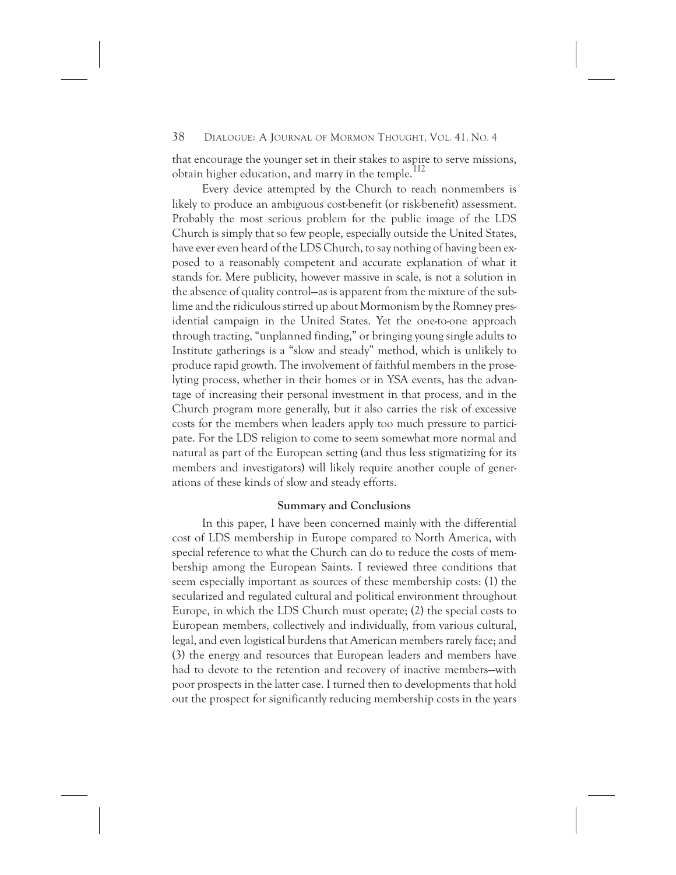that encourage the younger set in their stakes to aspire to serve missions, obtain higher education, and marry in the temple.<sup>112</sup>

Every device attempted by the Church to reach nonmembers is likely to produce an ambiguous cost-benefit (or risk-benefit) assessment. Probably the most serious problem for the public image of the LDS Church is simply that so few people, especially outside the United States, have ever even heard of the LDS Church, to say nothing of having been exposed to a reasonably competent and accurate explanation of what it stands for. Mere publicity, however massive in scale, is not a solution in the absence of quality control—as is apparent from the mixture of the sublime and the ridiculous stirred up about Mormonism by the Romney presidential campaign in the United States. Yet the one-to-one approach through tracting, "unplanned finding," or bringing young single adults to Institute gatherings is a "slow and steady" method, which is unlikely to produce rapid growth. The involvement of faithful members in the proselyting process, whether in their homes or in YSA events, has the advantage of increasing their personal investment in that process, and in the Church program more generally, but it also carries the risk of excessive costs for the members when leaders apply too much pressure to participate. For the LDS religion to come to seem somewhat more normal and natural as part of the European setting (and thus less stigmatizing for its members and investigators) will likely require another couple of generations of these kinds of slow and steady efforts.

## **Summary and Conclusions**

In this paper, I have been concerned mainly with the differential cost of LDS membership in Europe compared to North America, with special reference to what the Church can do to reduce the costs of membership among the European Saints. I reviewed three conditions that seem especially important as sources of these membership costs: (1) the secularized and regulated cultural and political environment throughout Europe, in which the LDS Church must operate; (2) the special costs to European members, collectively and individually, from various cultural, legal, and even logistical burdens that American members rarely face; and (3) the energy and resources that European leaders and members have had to devote to the retention and recovery of inactive members—with poor prospects in the latter case. I turned then to developments that hold out the prospect for significantly reducing membership costs in the years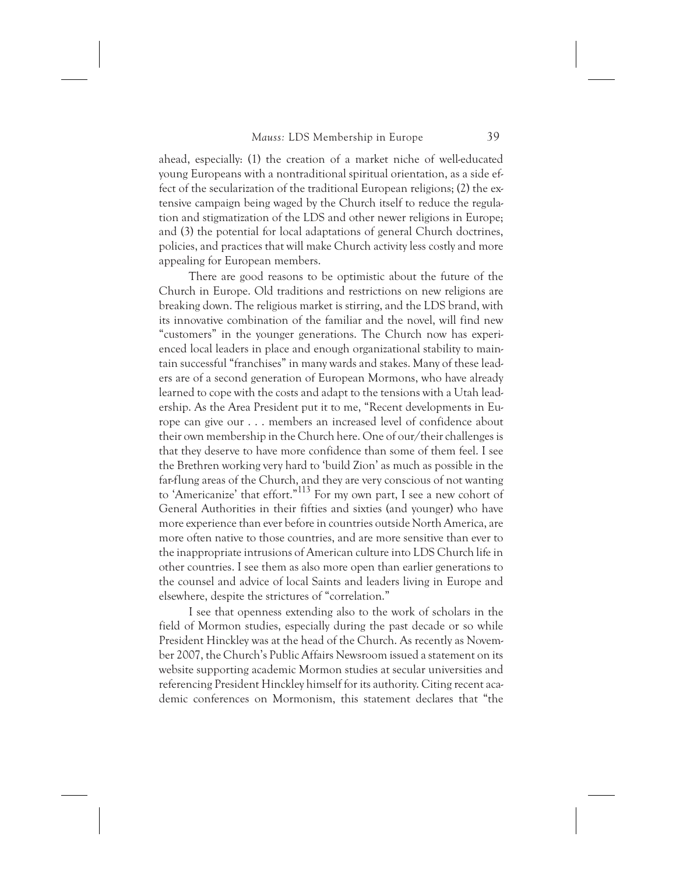ahead, especially: (1) the creation of a market niche of well-educated young Europeans with a nontraditional spiritual orientation, as a side effect of the secularization of the traditional European religions; (2) the extensive campaign being waged by the Church itself to reduce the regulation and stigmatization of the LDS and other newer religions in Europe; and (3) the potential for local adaptations of general Church doctrines, policies, and practices that will make Church activity less costly and more appealing for European members.

There are good reasons to be optimistic about the future of the Church in Europe. Old traditions and restrictions on new religions are breaking down. The religious market is stirring, and the LDS brand, with its innovative combination of the familiar and the novel, will find new "customers" in the younger generations. The Church now has experienced local leaders in place and enough organizational stability to maintain successful "franchises" in many wards and stakes. Many of these leaders are of a second generation of European Mormons, who have already learned to cope with the costs and adapt to the tensions with a Utah leadership. As the Area President put it to me, "Recent developments in Europe can give our . . . members an increased level of confidence about their own membership in the Church here. One of our/their challenges is that they deserve to have more confidence than some of them feel. I see the Brethren working very hard to 'build Zion' as much as possible in the far-flung areas of the Church, and they are very conscious of not wanting to 'Americanize' that effort."<sup>113</sup> For my own part, I see a new cohort of General Authorities in their fifties and sixties (and younger) who have more experience than ever before in countries outside North America, are more often native to those countries, and are more sensitive than ever to the inappropriate intrusions of American culture into LDS Church life in other countries. I see them as also more open than earlier generations to the counsel and advice of local Saints and leaders living in Europe and elsewhere, despite the strictures of "correlation."

I see that openness extending also to the work of scholars in the field of Mormon studies, especially during the past decade or so while President Hinckley was at the head of the Church. As recently as November 2007, the Church's Public Affairs Newsroom issued a statement on its website supporting academic Mormon studies at secular universities and referencing President Hinckley himself for its authority. Citing recent academic conferences on Mormonism, this statement declares that "the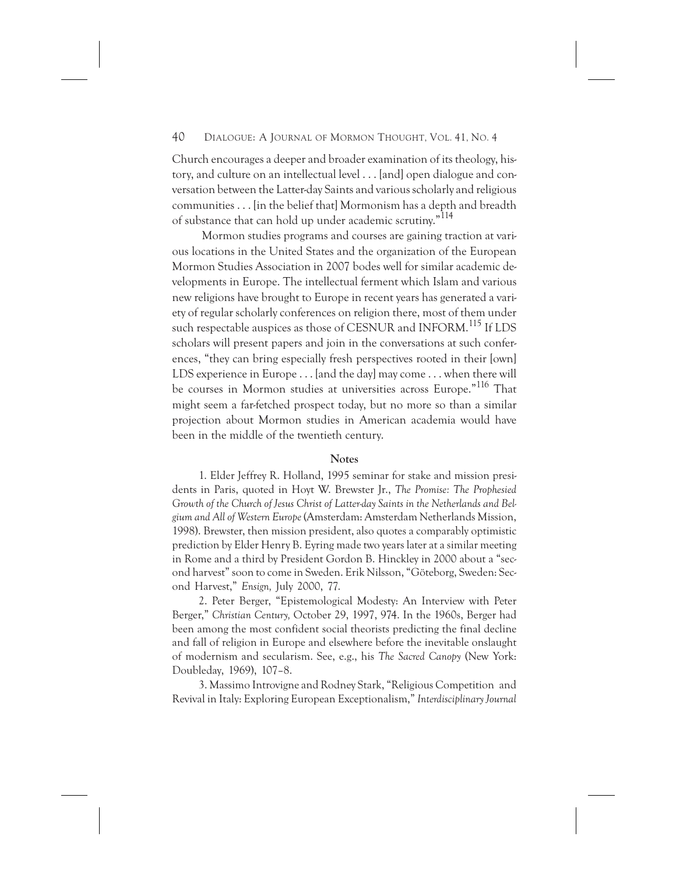Church encourages a deeper and broader examination of its theology, history, and culture on an intellectual level . . . [and] open dialogue and conversation between the Latter-day Saints and various scholarly and religious communities . . . [in the belief that] Mormonism has a depth and breadth of substance that can hold up under academic scrutiny."114

Mormon studies programs and courses are gaining traction at various locations in the United States and the organization of the European Mormon Studies Association in 2007 bodes well for similar academic developments in Europe. The intellectual ferment which Islam and various new religions have brought to Europe in recent years has generated a variety of regular scholarly conferences on religion there, most of them under such respectable auspices as those of CESNUR and INFORM.<sup>115</sup> If LDS scholars will present papers and join in the conversations at such conferences, "they can bring especially fresh perspectives rooted in their [own] LDS experience in Europe . . . [and the day] may come . . . when there will be courses in Mormon studies at universities across Europe."<sup>116</sup> That might seem a far-fetched prospect today, but no more so than a similar projection about Mormon studies in American academia would have been in the middle of the twentieth century.

## **Notes**

1. Elder Jeffrey R. Holland, 1995 seminar for stake and mission presidents in Paris, quoted in Hoyt W. Brewster Jr., *The Promise: The Prophesied Growth of the Church of Jesus Christ of Latter-day Saints in the Netherlands and Belgium and All of Western Europe* (Amsterdam: Amsterdam Netherlands Mission, 1998). Brewster, then mission president, also quotes a comparably optimistic prediction by Elder Henry B. Eyring made two years later at a similar meeting in Rome and a third by President Gordon B. Hinckley in 2000 about a "second harvest" soon to come in Sweden. Erik Nilsson, "Göteborg, Sweden: Second Harvest," *Ensign,* July 2000, 77.

2. Peter Berger, "Epistemological Modesty: An Interview with Peter Berger," *Christian Century,* October 29, 1997, 974. In the 1960s, Berger had been among the most confident social theorists predicting the final decline and fall of religion in Europe and elsewhere before the inevitable onslaught of modernism and secularism. See, e.g., his *The Sacred Canopy* (New York: Doubleday, 1969), 107–8.

3. Massimo Introvigne and Rodney Stark, "Religious Competition and Revival in Italy: Exploring European Exceptionalism," *Interdisciplinary Journal*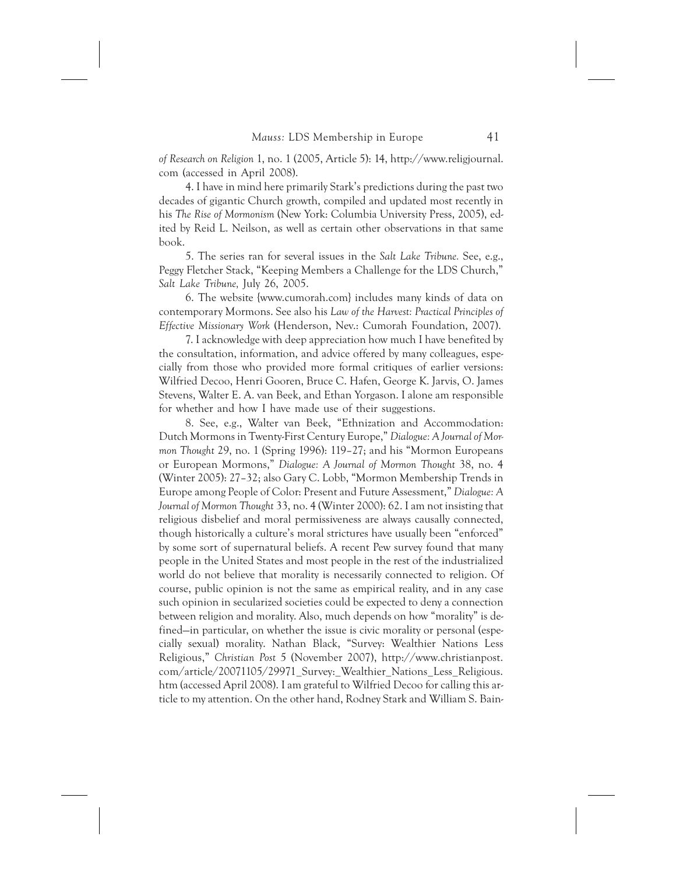*of Research on Religion* 1, no. 1 (2005, Article 5): 14, http://www.religjournal. com (accessed in April 2008).

4. I have in mind here primarily Stark's predictions during the past two decades of gigantic Church growth, compiled and updated most recently in his *The Rise of Mormonism* (New York: Columbia University Press, 2005), edited by Reid L. Neilson, as well as certain other observations in that same book.

5. The series ran for several issues in the *Salt Lake Tribune.* See, e.g., Peggy Fletcher Stack, "Keeping Members a Challenge for the LDS Church," *Salt Lake Tribune,* July 26, 2005.

6. The website {www.cumorah.com} includes many kinds of data on contemporary Mormons. See also his *Law of the Harvest: Practical Principles of Effective Missionary Work* (Henderson, Nev.: Cumorah Foundation, 2007).

7. I acknowledge with deep appreciation how much I have benefited by the consultation, information, and advice offered by many colleagues, especially from those who provided more formal critiques of earlier versions: Wilfried Decoo, Henri Gooren, Bruce C. Hafen, George K. Jarvis, O. James Stevens, Walter E. A. van Beek, and Ethan Yorgason. I alone am responsible for whether and how I have made use of their suggestions.

8. See, e.g., Walter van Beek, "Ethnization and Accommodation: Dutch Mormons in Twenty-First Century Europe," *Dialogue: A Journal of Mormon Thought* 29, no. 1 (Spring 1996): 119–27; and his "Mormon Europeans or European Mormons," *Dialogue: A Journal of Mormon Thought* 38, no. 4 (Winter 2005): 27–32; also Gary C. Lobb, "Mormon Membership Trends in Europe among People of Color: Present and Future Assessment," *Dialogue: A Journal of Mormon Thought* 33, no. 4 (Winter 2000): 62. I am not insisting that religious disbelief and moral permissiveness are always causally connected, though historically a culture's moral strictures have usually been "enforced" by some sort of supernatural beliefs. A recent Pew survey found that many people in the United States and most people in the rest of the industrialized world do not believe that morality is necessarily connected to religion. Of course, public opinion is not the same as empirical reality, and in any case such opinion in secularized societies could be expected to deny a connection between religion and morality. Also, much depends on how "morality" is defined—in particular, on whether the issue is civic morality or personal (especially sexual) morality. Nathan Black, "Survey: Wealthier Nations Less Religious," *Christian Post* 5 (November 2007), http://www.christianpost. com/article/20071105/29971\_Survey:\_Wealthier\_Nations\_Less\_Religious. htm (accessed April 2008). I am grateful to Wilfried Decoo for calling this article to my attention. On the other hand, Rodney Stark and William S. Bain-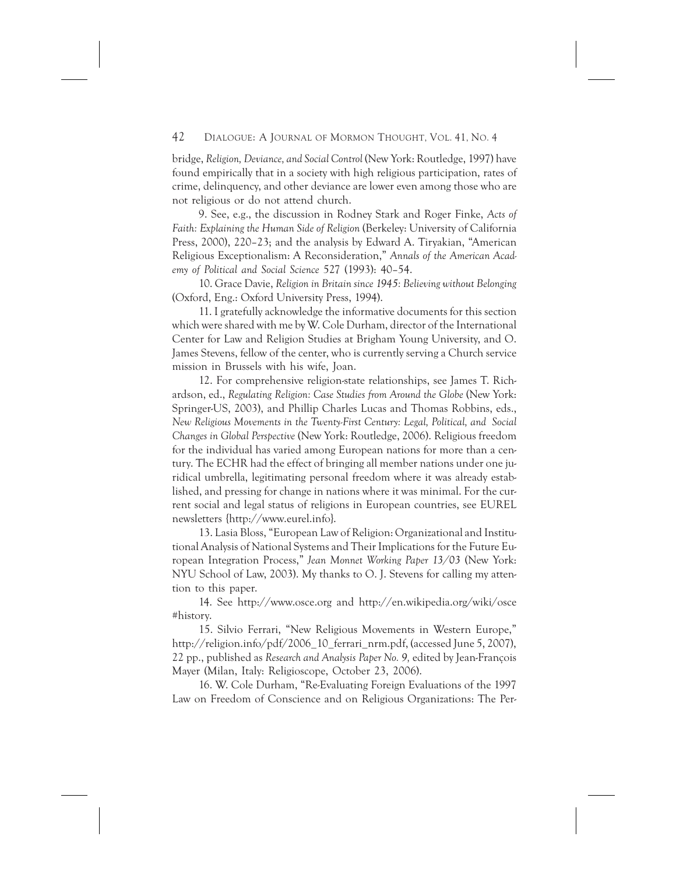bridge, *Religion, Deviance, and Social Control* (New York: Routledge, 1997) have found empirically that in a society with high religious participation, rates of crime, delinquency, and other deviance are lower even among those who are not religious or do not attend church.

9. See, e.g., the discussion in Rodney Stark and Roger Finke, *Acts of Faith: Explaining the Human Side of Religion* (Berkeley: University of California Press, 2000), 220–23; and the analysis by Edward A. Tiryakian, "American Religious Exceptionalism: A Reconsideration," *Annals of the American Academy of Political and Social Science* 527 (1993): 40–54.

10. Grace Davie, *Religion in Britain since 1945: Believing without Belonging* (Oxford, Eng.: Oxford University Press, 1994).

11. I gratefully acknowledge the informative documents for this section which were shared with me by W. Cole Durham, director of the International Center for Law and Religion Studies at Brigham Young University, and O. James Stevens, fellow of the center, who is currently serving a Church service mission in Brussels with his wife, Joan.

12. For comprehensive religion-state relationships, see James T. Richardson, ed., *Regulating Religion: Case Studies from Around the Globe* (New York: Springer-US, 2003), and Phillip Charles Lucas and Thomas Robbins, eds., *New Religious Movements in the Twenty-First Century: Legal, Political, and Social Changes in Global Perspective* (New York: Routledge, 2006). Religious freedom for the individual has varied among European nations for more than a century. The ECHR had the effect of bringing all member nations under one juridical umbrella, legitimating personal freedom where it was already established, and pressing for change in nations where it was minimal. For the current social and legal status of religions in European countries, see EUREL newsletters {http://www.eurel.info}.

13. Lasia Bloss, "European Law of Religion: Organizational and Institutional Analysis of National Systems and Their Implications for the Future European Integration Process," *Jean Monnet Working Paper 13/03* (New York: NYU School of Law, 2003). My thanks to O. J. Stevens for calling my attention to this paper.

14. See http://www.osce.org and http://en.wikipedia.org/wiki/osce #history.

15. Silvio Ferrari, "New Religious Movements in Western Europe," http://religion.info/pdf/2006\_10\_ferrari\_nrm.pdf, (accessed June 5, 2007), 22 pp., published as *Research and Analysis Paper No. 9,* edited by Jean-François Mayer (Milan, Italy: Religioscope, October 23, 2006).

16. W. Cole Durham, "Re-Evaluating Foreign Evaluations of the 1997 Law on Freedom of Conscience and on Religious Organizations: The Per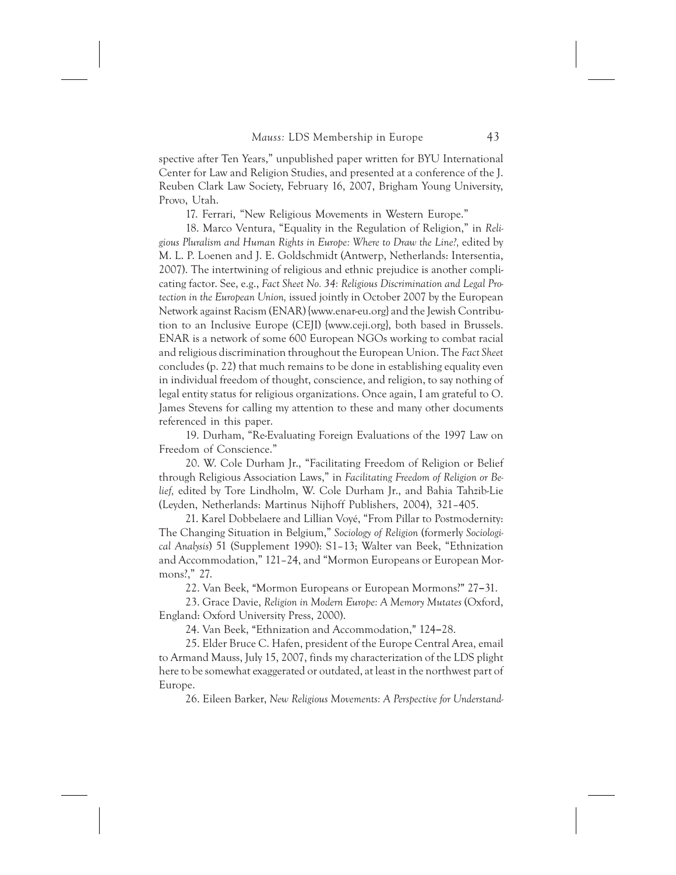spective after Ten Years," unpublished paper written for BYU International Center for Law and Religion Studies, and presented at a conference of the J. Reuben Clark Law Society, February 16, 2007, Brigham Young University, Provo, Utah.

17. Ferrari, "New Religious Movements in Western Europe."

18. Marco Ventura, "Equality in the Regulation of Religion," in *Religious Pluralism and Human Rights in Europe: Where to Draw the Line?,* edited by M. L. P. Loenen and J. E. Goldschmidt (Antwerp, Netherlands: Intersentia, 2007). The intertwining of religious and ethnic prejudice is another complicating factor. See, e.g., *Fact Sheet No. 34: Religious Discrimination and Legal Protection in the European Union,* issued jointly in October 2007 by the European Network against Racism (ENAR) {www.enar-eu.org} and the Jewish Contribution to an Inclusive Europe (CEJI) {www.ceji.org}, both based in Brussels. ENAR is a network of some 600 European NGOs working to combat racial and religious discrimination throughout the European Union. The *Fact Sheet* concludes (p. 22) that much remains to be done in establishing equality even in individual freedom of thought, conscience, and religion, to say nothing of legal entity status for religious organizations. Once again, I am grateful to O. James Stevens for calling my attention to these and many other documents referenced in this paper.

19. Durham, "Re-Evaluating Foreign Evaluations of the 1997 Law on Freedom of Conscience."

20. W. Cole Durham Jr., "Facilitating Freedom of Religion or Belief through Religious Association Laws," in *Facilitating Freedom of Religion or Belief,* edited by Tore Lindholm, W. Cole Durham Jr., and Bahia Tahzib-Lie (Leyden, Netherlands: Martinus Nijhoff Publishers, 2004), 321–405.

21. Karel Dobbelaere and Lillian Voyé, "From Pillar to Postmodernity: The Changing Situation in Belgium," *Sociology of Religion* (formerly *Sociological Analysis*) 51 (Supplement 1990): S1–13; Walter van Beek, "Ethnization and Accommodation," 121–24, and "Mormon Europeans or European Mormons?," 27.

22. Van Beek, "Mormon Europeans or European Mormons?" 27–31.

23. Grace Davie, *Religion in Modern Europe: A Memory Mutates* (Oxford, England: Oxford University Press, 2000).

24. Van Beek, "Ethnization and Accommodation," 124–28.

25. Elder Bruce C. Hafen, president of the Europe Central Area, email to Armand Mauss, July 15, 2007, finds my characterization of the LDS plight here to be somewhat exaggerated or outdated, at least in the northwest part of Europe.

26. Eileen Barker, *New Religious Movements: A Perspective for Understand-*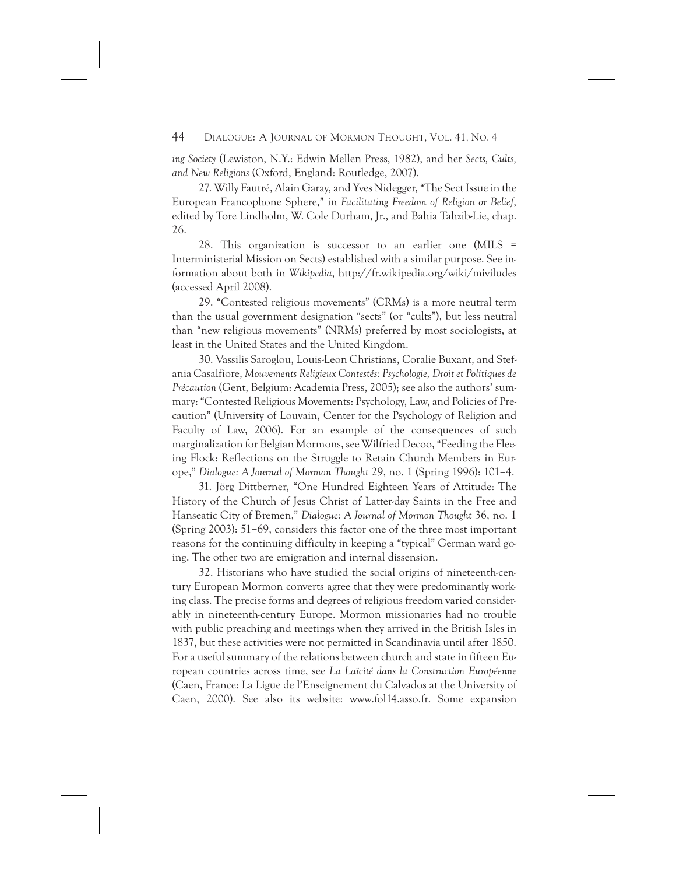*ing Society* (Lewiston, N.Y.: Edwin Mellen Press, 1982), and her *Sects, Cults, and New Religions* (Oxford, England: Routledge, 2007).

27. Willy Fautré, Alain Garay, and Yves Nidegger, "The Sect Issue in the European Francophone Sphere," in *Facilitating Freedom of Religion or Belief*, edited by Tore Lindholm, W. Cole Durham, Jr., and Bahia Tahzib-Lie, chap. 26.

28. This organization is successor to an earlier one (MILS = Interministerial Mission on Sects) established with a similar purpose. See information about both in *Wikipedia*, http://fr.wikipedia.org/wiki/miviludes (accessed April 2008).

29. "Contested religious movements" (CRMs) is a more neutral term than the usual government designation "sects" (or "cults"), but less neutral than "new religious movements" (NRMs) preferred by most sociologists, at least in the United States and the United Kingdom.

30. Vassilis Saroglou, Louis-Leon Christians, Coralie Buxant, and Stefania Casalfiore, *Mouvements Religieux Contestés: Psychologie, Droit et Politiques de Précaution* (Gent, Belgium: Academia Press, 2005); see also the authors' summary: "Contested Religious Movements: Psychology, Law, and Policies of Precaution" (University of Louvain, Center for the Psychology of Religion and Faculty of Law, 2006). For an example of the consequences of such marginalization for Belgian Mormons, see Wilfried Decoo, "Feeding the Fleeing Flock: Reflections on the Struggle to Retain Church Members in Europe," Dialogue: A Journal of Mormon Thought 29, no. 1 (Spring 1996): 101-4.

31. Jörg Dittberner, "One Hundred Eighteen Years of Attitude: The History of the Church of Jesus Christ of Latter-day Saints in the Free and Hanseatic City of Bremen," *Dialogue: A Journal of Mormon Thought* 36, no. 1 (Spring 2003):  $51-69$ , considers this factor one of the three most important reasons for the continuing difficulty in keeping a "typical" German ward going. The other two are emigration and internal dissension.

32. Historians who have studied the social origins of nineteenth-century European Mormon converts agree that they were predominantly working class. The precise forms and degrees of religious freedom varied considerably in nineteenth-century Europe. Mormon missionaries had no trouble with public preaching and meetings when they arrived in the British Isles in 1837, but these activities were not permitted in Scandinavia until after 1850. For a useful summary of the relations between church and state in fifteen European countries across time, see *La Laïcité dans la Construction Européenne* (Caen, France: La Ligue de l'Enseignement du Calvados at the University of Caen, 2000). See also its website: www.fol14.asso.fr. Some expansion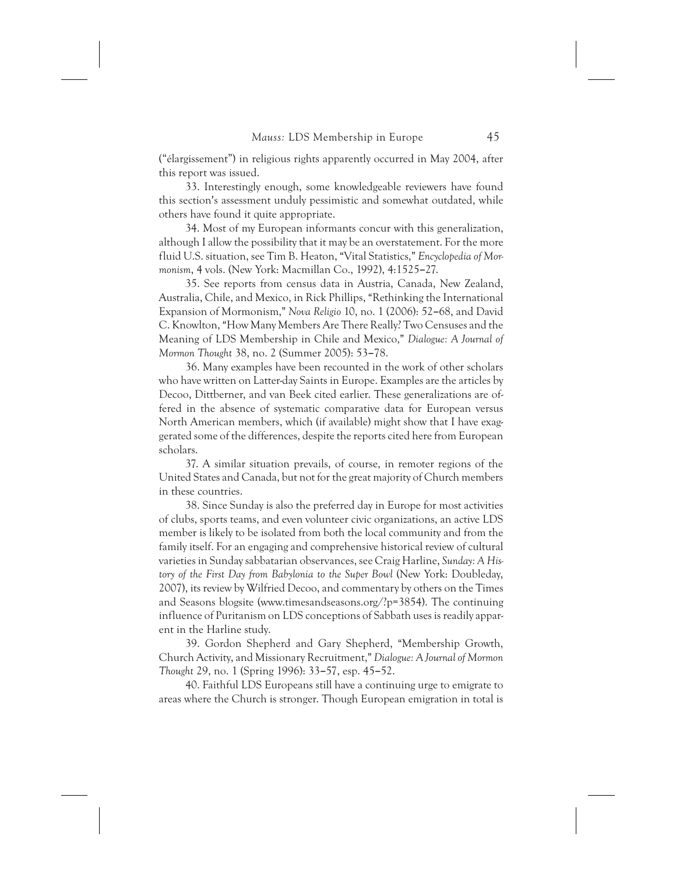("élargissement") in religious rights apparently occurred in May 2004, after this report was issued.

33. Interestingly enough, some knowledgeable reviewers have found this section's assessment unduly pessimistic and somewhat outdated, while others have found it quite appropriate.

34. Most of my European informants concur with this generalization, although I allow the possibility that it may be an overstatement. For the more fluid U.S. situation, see Tim B. Heaton, "Vital Statistics," Encyclopedia of Mor*monism, 4 vols.* (New York: Macmillan Co., 1992), 4:1525-27.

35. See reports from census data in Austria, Canada, New Zealand, Australia, Chile, and Mexico, in Rick Phillips, "Rethinking the International Expansion of Mormonism," Nova Religio 10, no. 1 (2006): 52–68, and David C. Knowlton, "How Many Members Are There Really? Two Censuses and the Meaning of LDS Membership in Chile and Mexico," Dialogue: A Journal of *Mormon Thought* 38, no. 2 (Summer 2005): 53-78.

36. Many examples have been recounted in the work of other scholars who have written on Latter-day Saints in Europe. Examples are the articles by Decoo, Dittberner, and van Beek cited earlier. These generalizations are offered in the absence of systematic comparative data for European versus North American members, which (if available) might show that I have exaggerated some of the differences, despite the reports cited here from European scholars.

37. A similar situation prevails, of course, in remoter regions of the United States and Canada, but not for the great majority of Church members in these countries.

38. Since Sunday is also the preferred day in Europe for most activities of clubs, sports teams, and even volunteer civic organizations, an active LDS member is likely to be isolated from both the local community and from the family itself. For an engaging and comprehensive historical review of cultural varieties in Sunday sabbatarian observances, see Craig Harline, *Sunday: A History of the First Day from Babylonia to the Super Bowl* (New York: Doubleday, 2007), its review by Wilfried Decoo, and commentary by others on the Times and Seasons blogsite (www.timesandseasons.org/?p=3854). The continuing influence of Puritanism on LDS conceptions of Sabbath uses is readily apparent in the Harline study.

39. Gordon Shepherd and Gary Shepherd, "Membership Growth, Church Activity, and Missionary Recruitment," Dialogue: A Journal of Mormon *Thought* 29, no. 1 (Spring 1996): 33-57, esp. 45-52.

40. Faithful LDS Europeans still have a continuing urge to emigrate to areas where the Church is stronger. Though European emigration in total is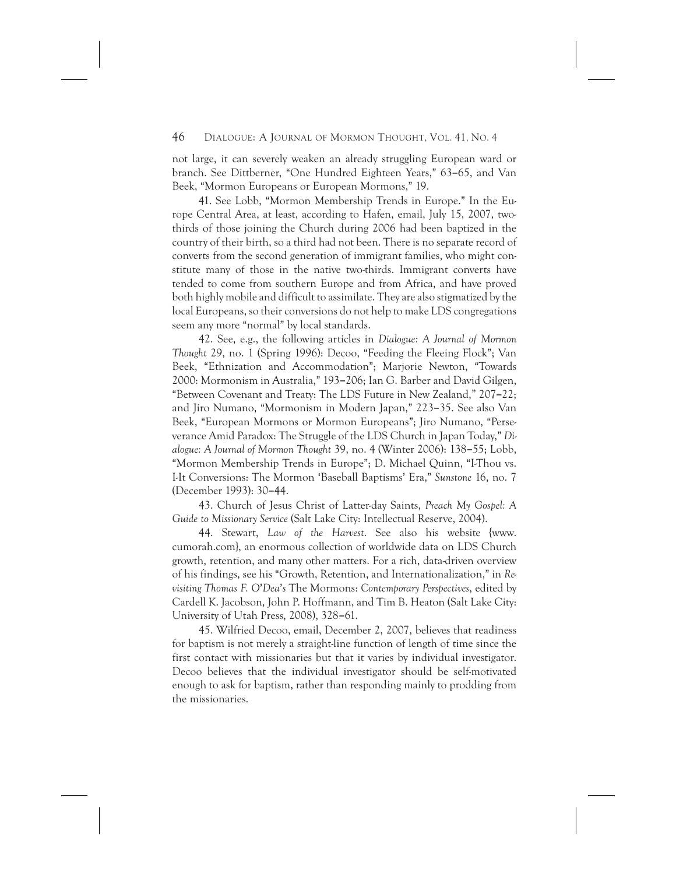not large, it can severely weaken an already struggling European ward or branch. See Dittberner, "One Hundred Eighteen Years," 63–65, and Van Beek, "Mormon Europeans or European Mormons," 19.

41. See Lobb, "Mormon Membership Trends in Europe." In the Europe Central Area, at least, according to Hafen, email, July 15, 2007, twothirds of those joining the Church during 2006 had been baptized in the country of their birth, so a third had not been. There is no separate record of converts from the second generation of immigrant families, who might constitute many of those in the native two-thirds. Immigrant converts have tended to come from southern Europe and from Africa, and have proved both highly mobile and difficult to assimilate. They are also stigmatized by the local Europeans, so their conversions do not help to make LDS congregations seem any more "normal" by local standards.

42. See, e.g., the following articles in *Dialogue: A Journal of Mormon Thought* 29, no. 1 (Spring 1996): Decoo, "Feeding the Fleeing Flock"; Van Beek, "Ethnization and Accommodation"; Marjorie Newton, "Towards 2000: Mormonism in Australia," 193–206; Ian G. Barber and David Gilgen, "Between Covenant and Treaty: The LDS Future in New Zealand,"  $207-22$ ; and Jiro Numano, "Mormonism in Modern Japan," 223-35. See also Van Beek, "European Mormons or Mormon Europeans"; Jiro Numano, "Perseverance Amid Paradox: The Struggle of the LDS Church in Japan Today," Di*alogue: A Journal of Mormon Thought* 39, no. 4 (Winter 2006): 138–55; Lobb, "Mormon Membership Trends in Europe"; D. Michael Quinn, "I-Thou vs. I-It Conversions: The Mormon 'Baseball Baptisms' Era," Sunstone 16, no. 7 (December 1993): 30-44.

43. Church of Jesus Christ of Latter-day Saints, *Preach My Gospel: A Guide to Missionary Service* (Salt Lake City: Intellectual Reserve, 2004).

44. Stewart, *Law of the Harvest*. See also his website {www. cumorah.com}, an enormous collection of worldwide data on LDS Church growth, retention, and many other matters. For a rich, data-driven overview of his findings, see his "Growth, Retention, and Internationalization," in *Revisiting Thomas F. O=Dea=s* The Mormons: *Contemporary Perspectives*, edited by Cardell K. Jacobson, John P. Hoffmann, and Tim B. Heaton (Salt Lake City: University of Utah Press,  $2008$ ),  $328-61$ .

45. Wilfried Decoo, email, December 2, 2007, believes that readiness for baptism is not merely a straight-line function of length of time since the first contact with missionaries but that it varies by individual investigator. Decoo believes that the individual investigator should be self-motivated enough to ask for baptism, rather than responding mainly to prodding from the missionaries.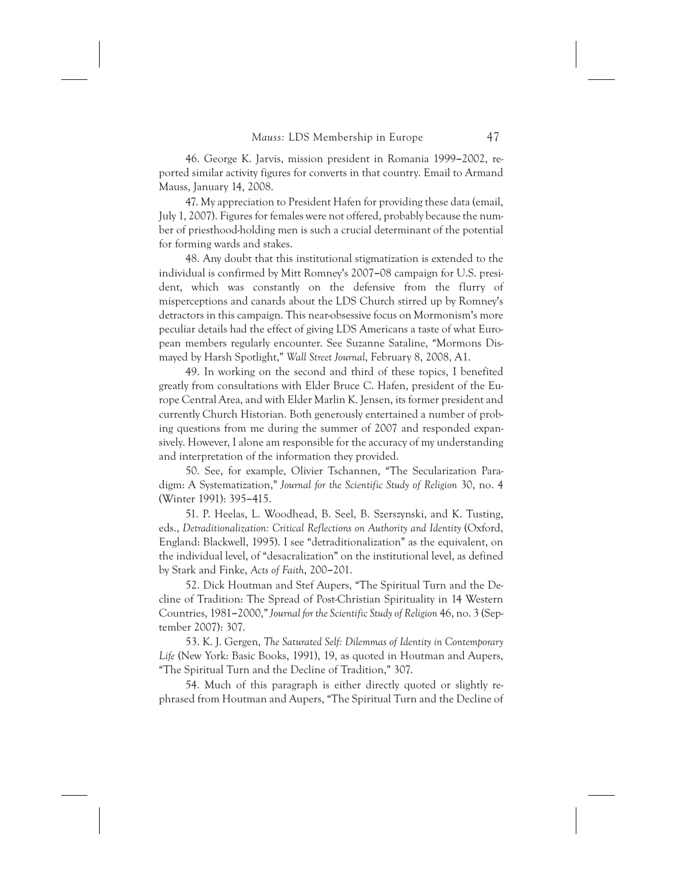46. George K. Jarvis, mission president in Romania 1999–2002, reported similar activity figures for converts in that country. Email to Armand Mauss, January 14, 2008.

47. My appreciation to President Hafen for providing these data (email, July 1, 2007). Figures for females were not offered, probably because the number of priesthood-holding men is such a crucial determinant of the potential for forming wards and stakes.

48. Any doubt that this institutional stigmatization is extended to the individual is confirmed by Mitt Romney's 2007–08 campaign for U.S. president, which was constantly on the defensive from the flurry of misperceptions and canards about the LDS Church stirred up by Romney=s detractors in this campaign. This near-obsessive focus on Mormonism's more peculiar details had the effect of giving LDS Americans a taste of what European members regularly encounter. See Suzanne Sataline, "Mormons Dismayed by Harsh Spotlight," Wall Street Journal, February 8, 2008, A1.

49. In working on the second and third of these topics, I benefited greatly from consultations with Elder Bruce C. Hafen, president of the Europe Central Area, and with Elder Marlin K. Jensen, its former president and currently Church Historian. Both generously entertained a number of probing questions from me during the summer of 2007 and responded expansively. However, I alone am responsible for the accuracy of my understanding and interpretation of the information they provided.

50. See, for example, Olivier Tschannen, "The Secularization Paradigm: A Systematization," *Journal for the Scientific Study of Religion* 30, no. 4 (Winter 1991): 395–415.

51. P. Heelas, L. Woodhead, B. Seel, B. Szerszynski, and K. Tusting, eds., *Detraditionalization: Critical Reflections on Authority and Identity* (Oxford, England: Blackwell, 1995). I see "detraditionalization" as the equivalent, on the individual level, of "desacralization" on the institutional level, as defined by Stark and Finke, *Acts of Faith*, 200-201.

52. Dick Houtman and Stef Aupers, "The Spiritual Turn and the Decline of Tradition: The Spread of Post-Christian Spirituality in 14 Western Countries, 1981-2000," Journal for the Scientific Study of Religion 46, no. 3 (September 2007): 307.

53. K. J. Gergen, *The Saturated Self: Dilemmas of Identity in Contemporary Life* (New York: Basic Books, 1991), 19, as quoted in Houtman and Aupers, "The Spiritual Turn and the Decline of Tradition," 307.

54. Much of this paragraph is either directly quoted or slightly rephrased from Houtman and Aupers, "The Spiritual Turn and the Decline of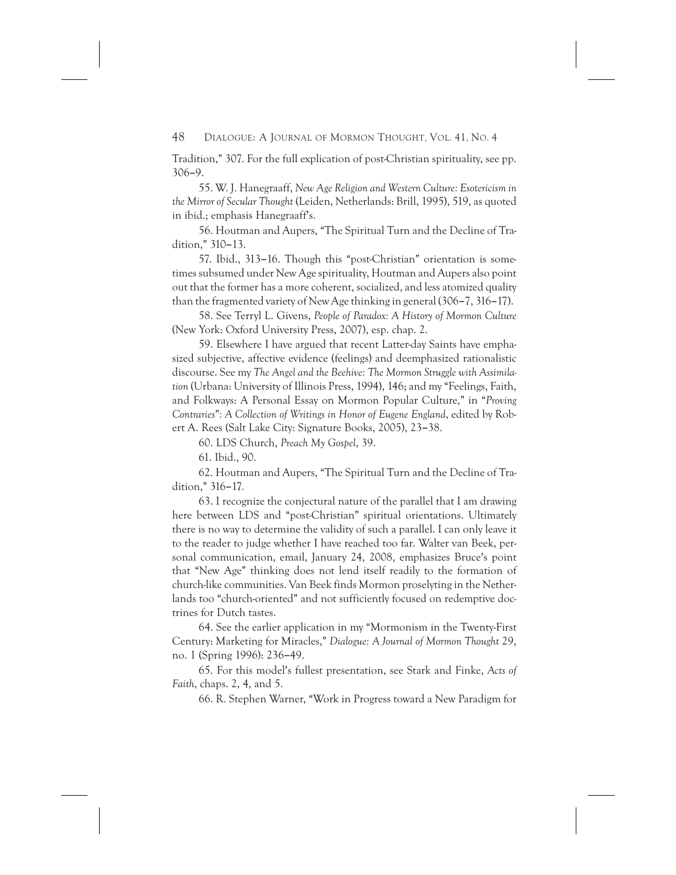Tradition," 307. For the full explication of post-Christian spirituality, see pp.  $306 - 9.$ 

55. W. J. Hanegraaff, *New Age Religion and Western Culture: Esotericism in the Mirror of Secular Thought* (Leiden, Netherlands: Brill, 1995), 519, as quoted in ibid.; emphasis Hanegraaff's.

56. Houtman and Aupers, AThe Spiritual Turn and the Decline of Tradition," 310-13.

57. Ibid., 313-16. Though this "post-Christian" orientation is sometimes subsumed under New Age spirituality, Houtman and Aupers also point out that the former has a more coherent, socialized, and less atomized quality than the fragmented variety of New Age thinking in general  $(306-7, 316-17)$ .

58. See Terryl L. Givens, *People of Paradox: A History of Mormon Culture* (New York: Oxford University Press, 2007), esp. chap. 2.

59. Elsewhere I have argued that recent Latter-day Saints have emphasized subjective, affective evidence (feelings) and deemphasized rationalistic discourse. See my *The Angel and the Beehive: The Mormon Struggle with Assimilation* (Urbana: University of Illinois Press, 1994), 146; and my "Feelings, Faith, and Folkways: A Personal Essay on Mormon Popular Culture," in "Proving *Contraries@: A Collection of Writings in Honor of Eugene England*, edited by Robert A. Rees (Salt Lake City: Signature Books, 2005), 23–38.

60. LDS Church, *Preach My Gospel*, 39.

61. Ibid., 90.

62. Houtman and Aupers, "The Spiritual Turn and the Decline of Tradition," 316-17.

63. I recognize the conjectural nature of the parallel that I am drawing here between LDS and "post-Christian" spiritual orientations. Ultimately there is no way to determine the validity of such a parallel. I can only leave it to the reader to judge whether I have reached too far. Walter van Beek, personal communication, email, January 24, 2008, emphasizes Bruce's point that "New Age" thinking does not lend itself readily to the formation of church-like communities. Van Beek finds Mormon proselyting in the Netherlands too "church-oriented" and not sufficiently focused on redemptive doctrines for Dutch tastes.

64. See the earlier application in my "Mormonism in the Twenty-First Century: Marketing for Miracles," Dialogue: A Journal of Mormon Thought 29, no. 1 (Spring 1996): 236–49.

65. For this model's fullest presentation, see Stark and Finke, *Acts of Faith*, chaps. 2, 4, and 5.

66. R. Stephen Warner, "Work in Progress toward a New Paradigm for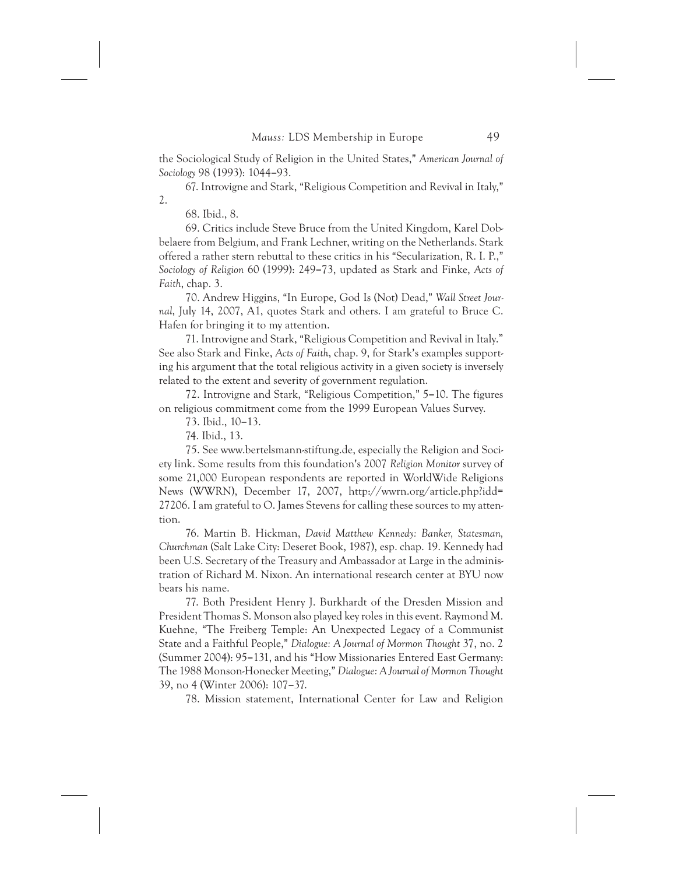the Sociological Study of Religion in the United States," American Journal of *Sociology* 98 (1993): 1044-93.

67. Introvigne and Stark, "Religious Competition and Revival in Italy," 2.

68. Ibid., 8.

69. Critics include Steve Bruce from the United Kingdom, Karel Dobbelaere from Belgium, and Frank Lechner, writing on the Netherlands. Stark offered a rather stern rebuttal to these critics in his "Secularization, R. I. P.," *Sociology of Religion* 60 (1999): 249B73, updated as Stark and Finke, *Acts of Faith*, chap. 3.

70. Andrew Higgins, "In Europe, God Is (Not) Dead," Wall Street Jour*nal*, July 14, 2007, A1, quotes Stark and others. I am grateful to Bruce C. Hafen for bringing it to my attention.

71. Introvigne and Stark, "Religious Competition and Revival in Italy." See also Stark and Finke, *Acts of Faith*, chap. 9, for Stark's examples supporting his argument that the total religious activity in a given society is inversely related to the extent and severity of government regulation.

72. Introvigne and Stark, "Religious Competition," 5–10. The figures on religious commitment come from the 1999 European Values Survey.

73. Ibid., 10-13.

74. Ibid., 13.

75. See www.bertelsmann-stiftung.de, especially the Religion and Society link. Some results from this foundation's 2007 *Religion Monitor* survey of some 21,000 European respondents are reported in WorldWide Religions News (WWRN), December 17, 2007, http://wwrn.org/article.php?idd= 27206. I am grateful to O. James Stevens for calling these sources to my attention.

76. Martin B. Hickman, *David Matthew Kennedy: Banker, Statesman, Churchman* (Salt Lake City: Deseret Book, 1987), esp. chap. 19. Kennedy had been U.S. Secretary of the Treasury and Ambassador at Large in the administration of Richard M. Nixon. An international research center at BYU now bears his name.

77. Both President Henry J. Burkhardt of the Dresden Mission and President Thomas S. Monson also played key roles in this event. Raymond M. Kuehne, "The Freiberg Temple: An Unexpected Legacy of a Communist State and a Faithful People," *Dialogue: A Journal of Mormon Thought* 37, no. 2 (Summer 2004): 95–131, and his "How Missionaries Entered East Germany: The 1988 Monson-Honecker Meeting," *Dialogue: A Journal of Mormon Thought* 39, no 4 (Winter 2006): 107-37.

78. Mission statement, International Center for Law and Religion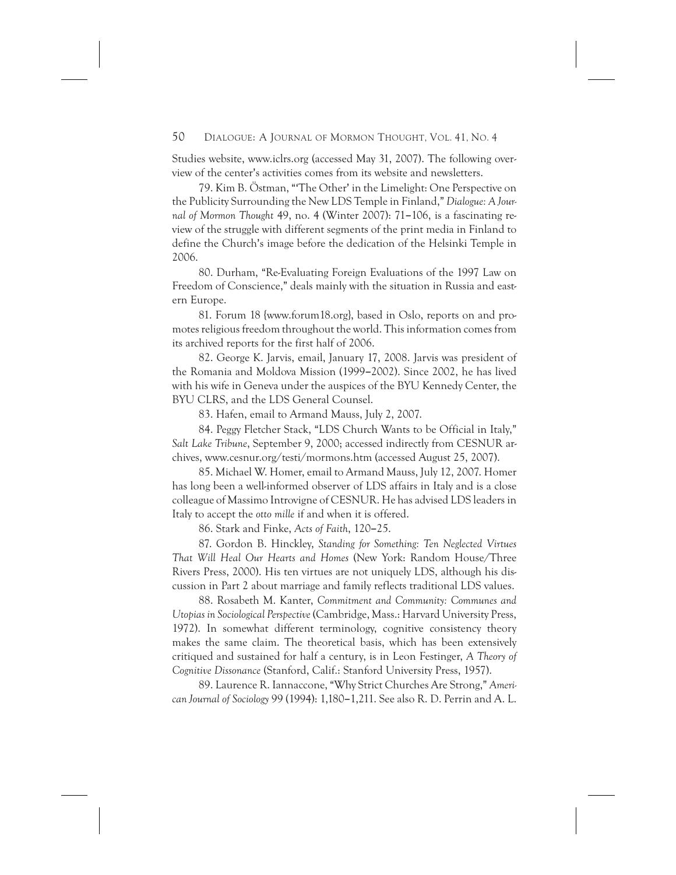Studies website, www.iclrs.org (accessed May 31, 2007). The following overview of the center's activities comes from its website and newsletters.

79. Kim B. Östman, "The Other' in the Limelight: One Perspective on the Publicity Surrounding the New LDS Temple in Finland," Dialogue: A Journal of Mormon Thought 49, no. 4 (Winter 2007): 71–106, is a fascinating review of the struggle with different segments of the print media in Finland to define the Church's image before the dedication of the Helsinki Temple in 2006.

80. Durham, "Re-Evaluating Foreign Evaluations of the 1997 Law on Freedom of Conscience," deals mainly with the situation in Russia and eastern Europe.

81. Forum 18 {www.forum18.org}, based in Oslo, reports on and promotes religious freedom throughout the world. This information comes from its archived reports for the first half of 2006.

82. George K. Jarvis, email, January 17, 2008. Jarvis was president of the Romania and Moldova Mission (1999–2002). Since 2002, he has lived with his wife in Geneva under the auspices of the BYU Kennedy Center, the BYU CLRS, and the LDS General Counsel.

83. Hafen, email to Armand Mauss, July 2, 2007.

84. Peggy Fletcher Stack, "LDS Church Wants to be Official in Italy," *Salt Lake Tribune*, September 9, 2000; accessed indirectly from CESNUR archives, www.cesnur.org/testi/mormons.htm (accessed August 25, 2007).

85. Michael W. Homer, email to Armand Mauss, July 12, 2007. Homer has long been a well-informed observer of LDS affairs in Italy and is a close colleague of Massimo Introvigne of CESNUR. He has advised LDS leaders in Italy to accept the *otto mille* if and when it is offered.

86. Stark and Finke, *Acts of Faith*, 120–25.

87. Gordon B. Hinckley, *Standing for Something: Ten Neglected Virtues That Will Heal Our Hearts and Homes* (New York: Random House/Three Rivers Press, 2000). His ten virtues are not uniquely LDS, although his discussion in Part 2 about marriage and family reflects traditional LDS values.

88. Rosabeth M. Kanter, *Commitment and Community: Communes and Utopias in Sociological Perspective* (Cambridge, Mass.: Harvard University Press, 1972). In somewhat different terminology, cognitive consistency theory makes the same claim. The theoretical basis, which has been extensively critiqued and sustained for half a century, is in Leon Festinger, *A Theory of Cognitive Dissonance* (Stanford, Calif.: Stanford University Press, 1957).

89. Laurence R. Iannaccone, "Why Strict Churches Are Strong," Ameri*can Journal of Sociology* 99 (1994): 1,180–1,211. See also R. D. Perrin and A. L.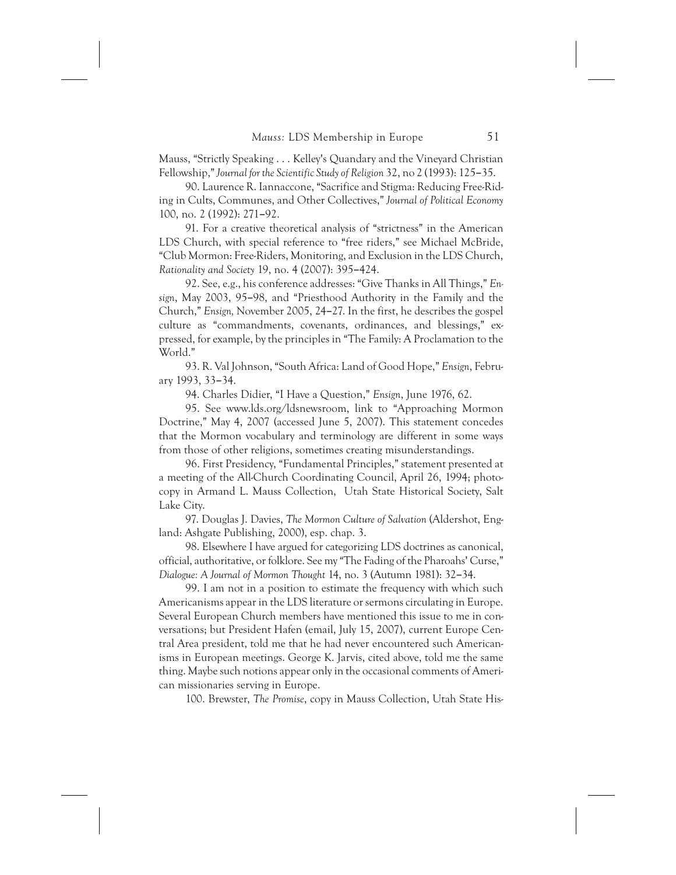Mauss, "Strictly Speaking . . . Kelley's Quandary and the Vineyard Christian Fellowship," Journal for the Scientific Study of Religion 32, no 2 (1993): 125–35.

90. Laurence R. Iannaccone, "Sacrifice and Stigma: Reducing Free-Riding in Cults, Communes, and Other Collectives," *Journal of Political Economy* 100, no. 2 (1992): 271-92.

91. For a creative theoretical analysis of "strictness" in the American LDS Church, with special reference to "free riders," see Michael McBride, "Club Mormon: Free-Riders, Monitoring, and Exclusion in the LDS Church, *Rationality and Society 19, no. 4 (2007): 395-424.* 

92. See, e.g., his conference addresses: "Give Thanks in All Things," *En*sign, May 2003, 95-98, and "Priesthood Authority in the Family and the Church," *Ensign*, November 2005, 24–27. In the first, he describes the gospel culture as "commandments, covenants, ordinances, and blessings," expressed, for example, by the principles in "The Family: A Proclamation to the World."

93. R. Val Johnson, "South Africa: Land of Good Hope," *Ensign*, February 1993, 33-34.

94. Charles Didier, "I Have a Question," *Ensign*, June 1976, 62.

95. See www.lds.org/ldsnewsroom, link to "Approaching Mormon Doctrine," May 4, 2007 (accessed June 5, 2007). This statement concedes that the Mormon vocabulary and terminology are different in some ways from those of other religions, sometimes creating misunderstandings.

96. First Presidency, "Fundamental Principles," statement presented at a meeting of the All-Church Coordinating Council, April 26, 1994; photocopy in Armand L. Mauss Collection, Utah State Historical Society, Salt Lake City.

97. Douglas J. Davies, *The Mormon Culture of Salvation* (Aldershot, England: Ashgate Publishing, 2000), esp. chap. 3.

98. Elsewhere I have argued for categorizing LDS doctrines as canonical, official, authoritative, or folklore. See my "The Fading of the Pharoahs' Curse," *Dialogue: A Journal of Mormon Thought* 14, no. 3 (Autumn 1981): 32–34.

99. I am not in a position to estimate the frequency with which such Americanisms appear in the LDS literature or sermons circulating in Europe. Several European Church members have mentioned this issue to me in conversations; but President Hafen (email, July 15, 2007), current Europe Central Area president, told me that he had never encountered such Americanisms in European meetings. George K. Jarvis, cited above, told me the same thing. Maybe such notions appear only in the occasional comments of American missionaries serving in Europe.

100. Brewster, *The Promise*, copy in Mauss Collection, Utah State His-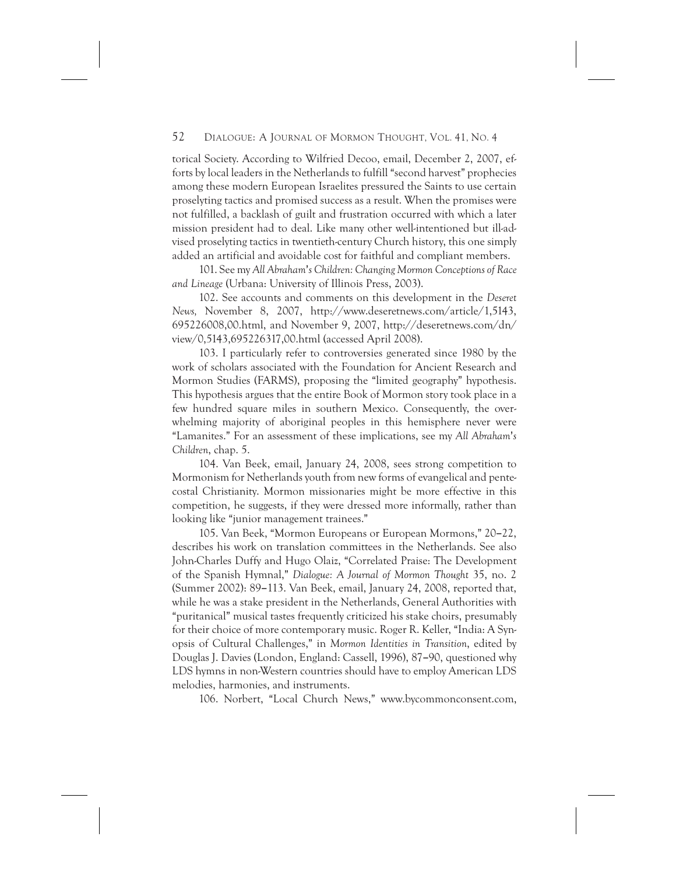torical Society. According to Wilfried Decoo, email, December 2, 2007, efforts by local leaders in the Netherlands to fulfill "second harvest" prophecies among these modern European Israelites pressured the Saints to use certain proselyting tactics and promised success as a result. When the promises were not fulfilled, a backlash of guilt and frustration occurred with which a later mission president had to deal. Like many other well-intentioned but ill-advised proselyting tactics in twentieth-century Church history, this one simply added an artificial and avoidable cost for faithful and compliant members.

101. See my All Abraham's Children: Changing Mormon Conceptions of Race *and Lineage* (Urbana: University of Illinois Press, 2003).

102. See accounts and comments on this development in the *Deseret News,* November 8, 2007, http://www.deseretnews.com/article/1,5143, 695226008,00.html, and November 9, 2007, http://deseretnews.com/dn/ view/0,5143,695226317,00.html (accessed April 2008).

103. I particularly refer to controversies generated since 1980 by the work of scholars associated with the Foundation for Ancient Research and Mormon Studies (FARMS), proposing the "limited geography" hypothesis. This hypothesis argues that the entire Book of Mormon story took place in a few hundred square miles in southern Mexico. Consequently, the overwhelming majority of aboriginal peoples in this hemisphere never were "Lamanites." For an assessment of these implications, see my All Abraham's *Children*, chap. 5.

104. Van Beek, email, January 24, 2008, sees strong competition to Mormonism for Netherlands youth from new forms of evangelical and pentecostal Christianity. Mormon missionaries might be more effective in this competition, he suggests, if they were dressed more informally, rather than looking like "junior management trainees."

105. Van Beek, "Mormon Europeans or European Mormons," 20–22, describes his work on translation committees in the Netherlands. See also John-Charles Duffy and Hugo Olaiz, "Correlated Praise: The Development of the Spanish Hymnal," *Dialogue: A Journal of Mormon Thought* 35, no. 2 (Summer 2002): 89–113. Van Beek, email, January 24, 2008, reported that, while he was a stake president in the Netherlands, General Authorities with "puritanical" musical tastes frequently criticized his stake choirs, presumably for their choice of more contemporary music. Roger R. Keller, "India: A Synopsis of Cultural Challenges,@ in *Mormon Identities in Transition*, edited by Douglas J. Davies (London, England: Cassell, 1996), 87-90, questioned why LDS hymns in non-Western countries should have to employ American LDS melodies, harmonies, and instruments.

106. Norbert, "Local Church News," www.bycommonconsent.com,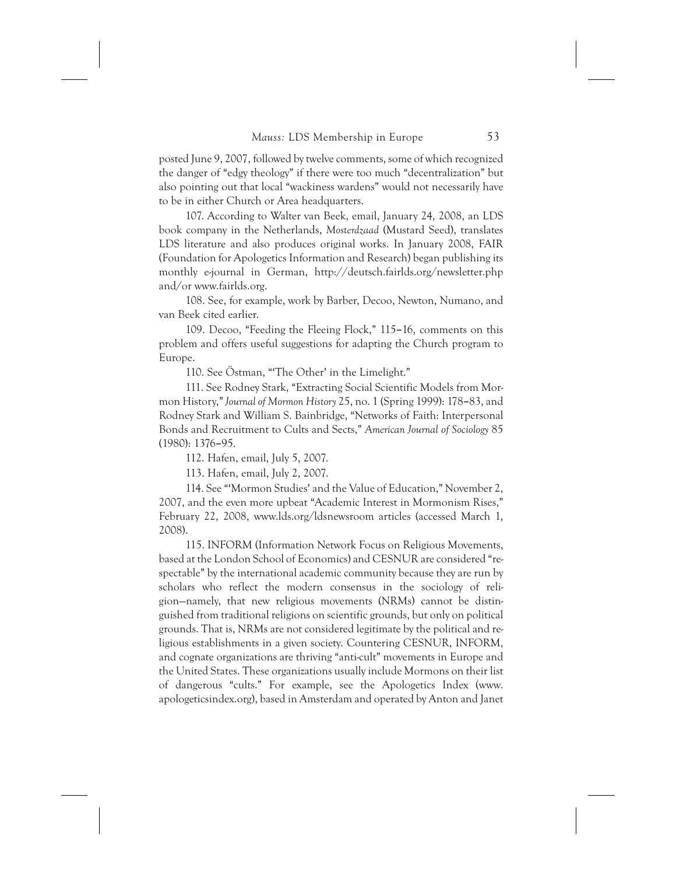posted June 9, 2007, followed by twelve comments, some of which recognized the danger of "edgy theology" if there were too much "decentralization" but also pointing out that local "wackiness wardens" would not necessarily have to be in either Church or Area headquarters.

107. According to Walter van Beek, email, January 24, 2008, an LDS book company in the Netherlands, *Mosterdzaad* (Mustard Seed), translates LDS literature and also produces original works. In January 2008, FAIR (Foundation for Apologetics Information and Research) began publishing its monthly e-journal in German, http://deutsch.fairlds.org/newsletter.php and/or www.fairlds.org.

108. See, for example, work by Barber, Decoo, Newton, Numano, and van Beek cited earlier.

109. Decoo, "Feeding the Fleeing Flock," 115-16, comments on this problem and offers useful suggestions for adapting the Church program to Europe.

110. See Östman, "The Other' in the Limelight."

111. See Rodney Stark, "Extracting Social Scientific Models from Mormon History," *Journal of Mormon History* 25, no. 1 (Spring 1999): 178–83, and Rodney Stark and William S. Bainbridge, "Networks of Faith: Interpersonal Bonds and Recruitment to Cults and Sects," American Journal of Sociology 85  $(1980): 1376 - 95.$ 

112. Hafen, email, July 5, 2007.

113. Hafen, email, July 2, 2007.

114. See "'Mormon Studies' and the Value of Education," November 2, 2007, and the even more upbeat "Academic Interest in Mormonism Rises," February 22, 2008, www.lds.org/ldsnewsroom articles (accessed March 1, 2008).

115. INFORM (Information Network Focus on Religious Movements, based at the London School of Economics) and CESNUR are considered "respectable" by the international academic community because they are run by scholars who reflect the modern consensus in the sociology of religion—namely, that new religious movements (NRMs) cannot be distinguished from traditional religions on scientific grounds, but only on political grounds. That is, NRMs are not considered legitimate by the political and religious establishments in a given society. Countering CESNUR, INFORM, and cognate organizations are thriving "anti-cult" movements in Europe and the United States. These organizations usually include Mormons on their list of dangerous "cults." For example, see the Apologetics Index (www. apologeticsindex.org), based in Amsterdam and operated by Anton and Janet